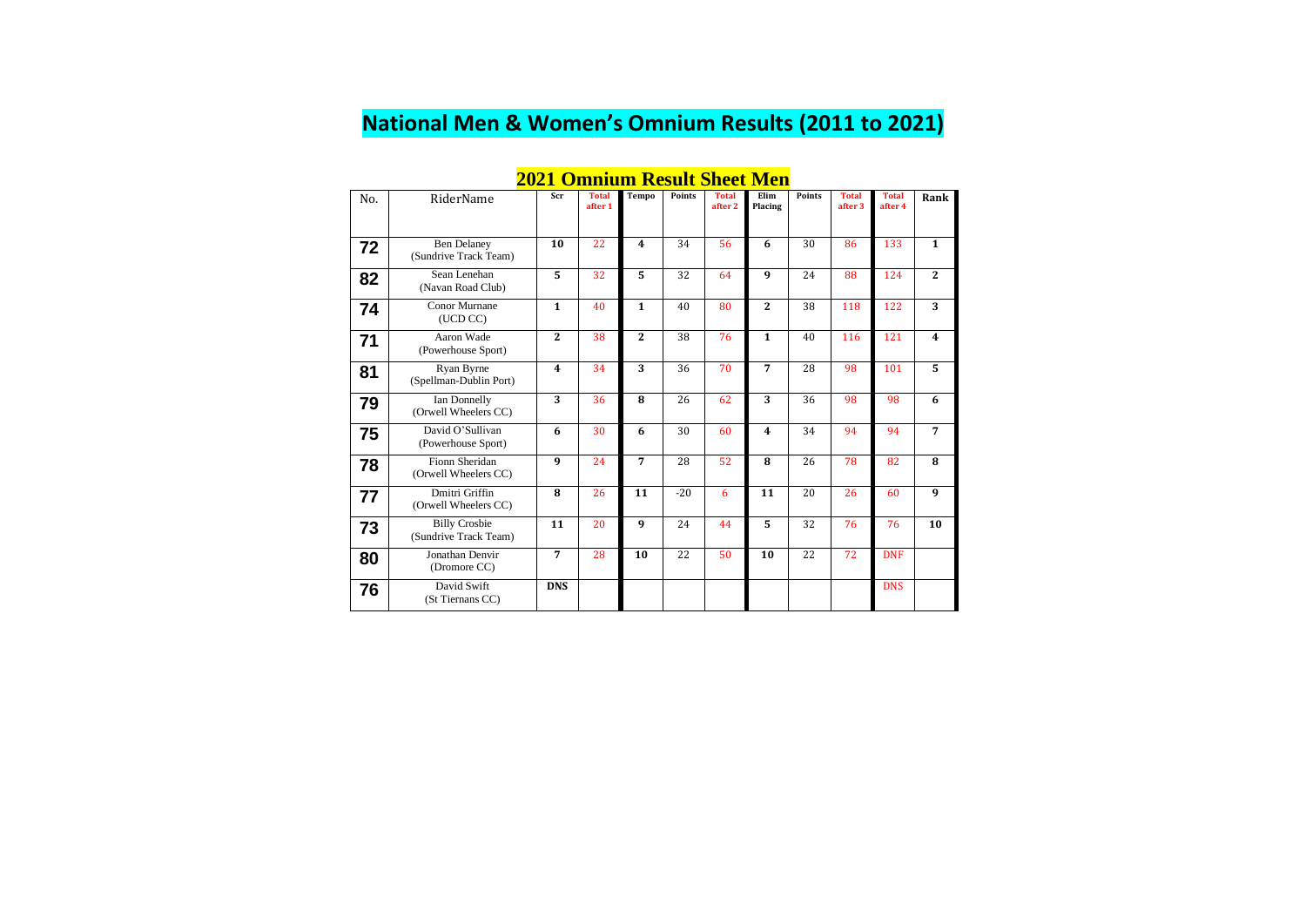#### **National Men & Women's Omnium Results (2011 to 2021)**

#### **2021 Omnium Result Sheet Men**

| No. | RiderName                                     | Scr                     | <b>Total</b><br>after 1 | <b>Tempo</b>            | Points | <b>Total</b><br>after 2 | Elim<br>Placing         | <b>Points</b> | <b>Total</b><br>after 3 | <b>Total</b><br>after 4 | Rank             |
|-----|-----------------------------------------------|-------------------------|-------------------------|-------------------------|--------|-------------------------|-------------------------|---------------|-------------------------|-------------------------|------------------|
| 72  | <b>Ben Delaney</b><br>(Sundrive Track Team)   | 10                      | 22                      | $\overline{\mathbf{4}}$ | 34     | 56                      | 6                       | 30            | 86                      | 133                     | $\mathbf{1}$     |
| 82  | Sean Lenehan<br>(Navan Road Club)             | 5                       | 32                      | 5                       | 32     | 64                      | 9                       | 24            | 88                      | 124                     | $\overline{2}$   |
| 74  | <b>Conor Murnane</b><br>(UCD CC)              | $\mathbf{1}$            | 40                      | $\mathbf{1}$            | 40     | 80                      | $\overline{2}$          | 38            | 118                     | 122                     | 3                |
| 71  | Aaron Wade<br>(Powerhouse Sport)              | $\overline{2}$          | 38                      | $\overline{2}$          | 38     | 76                      | $\mathbf{1}$            | 40            | 116                     | 121                     | $\boldsymbol{4}$ |
| 81  | Ryan Byrne<br>(Spellman-Dublin Port)          | $\overline{\mathbf{4}}$ | 34                      | 3                       | 36     | 70                      | 7                       | 28            | 98                      | 101                     | 5                |
| 79  | Ian Donnelly<br>(Orwell Wheelers CC)          | $\overline{3}$          | 36                      | 8                       | 26     | 62                      | 3                       | 36            | 98                      | 98                      | 6                |
| 75  | David O'Sullivan<br>(Powerhouse Sport)        | 6                       | 30                      | 6                       | 30     | 60                      | $\overline{\mathbf{4}}$ | 34            | 94                      | 94                      | $\overline{7}$   |
| 78  | Fionn Sheridan<br>(Orwell Wheelers CC)        | 9                       | 24                      | 7                       | 28     | 52                      | 8                       | 26            | 78                      | 82                      | 8                |
| 77  | Dmitri Griffin<br>(Orwell Wheelers CC)        | 8                       | 26                      | 11                      | $-20$  | 6                       | 11                      | 20            | 26                      | 60                      | $\boldsymbol{9}$ |
| 73  | <b>Billy Crosbie</b><br>(Sundrive Track Team) | 11                      | 20                      | 9                       | 24     | 44                      | 5                       | 32            | 76                      | 76                      | 10               |
| 80  | Jonathan Denvir<br>(Dromore CC)               | $\overline{7}$          | 28                      | 10                      | 22     | 50                      | 10                      | 22            | 72                      | <b>DNF</b>              |                  |
| 76  | David Swift<br>(St Tiernans CC)               | <b>DNS</b>              |                         |                         |        |                         |                         |               |                         | <b>DNS</b>              |                  |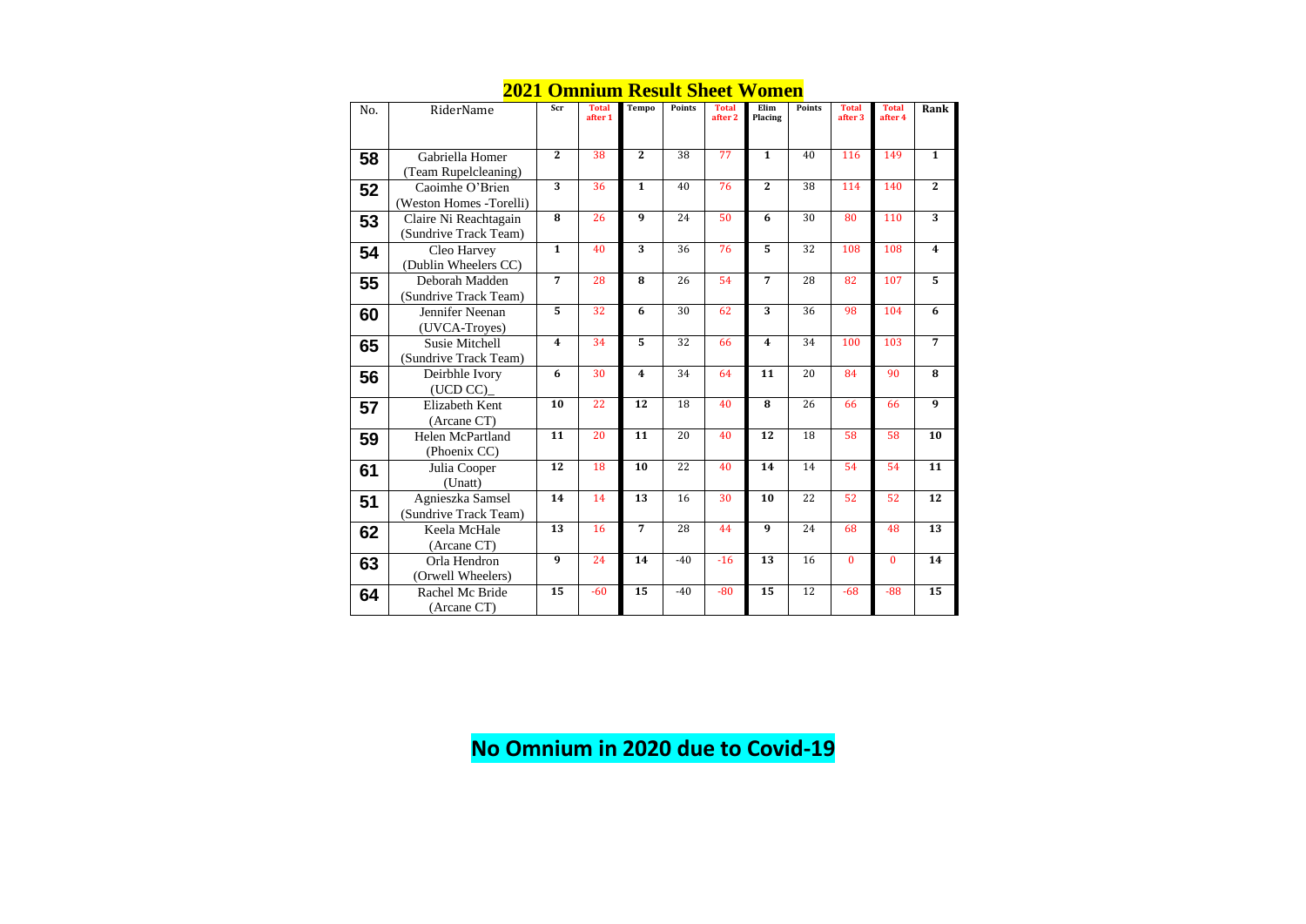#### **2021 Omnium Result Sheet Women**

| No. | RiderName                                      | Scr                     | <b>Total</b><br>after 1 | <b>Tempo</b>     | <b>Points</b>   | <b>Total</b><br>after 2 | Elim<br>Placing         | <b>Points</b>   | <b>Total</b><br>after <sub>3</sub> | <b>Total</b><br>after 4 | Rank             |
|-----|------------------------------------------------|-------------------------|-------------------------|------------------|-----------------|-------------------------|-------------------------|-----------------|------------------------------------|-------------------------|------------------|
| 58  | Gabriella Homer<br>(Team Rupelcleaning)        | $\overline{2}$          | $\overline{38}$         | $\overline{2}$   | $\overline{38}$ | $\overline{77}$         | $\overline{\mathbf{1}}$ | 40              | 116                                | 149                     | $\overline{1}$   |
| 52  | Caoimhe O'Brien<br>(Weston Homes -Torelli)     | $\overline{3}$          | 36                      | $\mathbf{1}$     | 40              | 76                      | $\overline{2}$          | 38              | 114                                | 140                     | $\overline{2}$   |
| 53  | Claire Ni Reachtagain<br>(Sundrive Track Team) | 8                       | 26                      | $\boldsymbol{9}$ | 24              | 50                      | 6                       | 30              | 80                                 | 110                     | 3                |
| 54  | Cleo Harvey<br>(Dublin Wheelers CC)            | $\overline{\mathbf{1}}$ | 40                      | $\overline{3}$   | 36              | $\overline{76}$         | 5                       | $\overline{32}$ | 108                                | 108                     | $\boldsymbol{4}$ |
| 55  | Deborah Madden<br>(Sundrive Track Team)        | $\overline{7}$          | 28                      | 8                | 26              | 54                      | $\overline{7}$          | 28              | 82                                 | 107                     | $\overline{5}$   |
| 60  | Jennifer Neenan<br>(UVCA-Troyes)               | $\overline{5}$          | $\overline{32}$         | 6                | $\overline{30}$ | 62                      | $\overline{3}$          | 36              | 98                                 | 104                     | 6                |
| 65  | <b>Susie Mitchell</b><br>(Sundrive Track Team) | $\overline{\mathbf{4}}$ | 34                      | 5                | 32              | 66                      | $\overline{\mathbf{4}}$ | 34              | 100                                | 103                     | $\overline{7}$   |
| 56  | Deirbhle Ivory<br>(UCD CC)                     | 6                       | 30                      | 4                | 34              | 64                      | 11                      | 20              | 84                                 | 90                      | ${\bf 8}$        |
| 57  | Elizabeth Kent<br>(Arcane CT)                  | 10                      | $\overline{22}$         | 12               | 18              | 40                      | 8                       | 26              | 66                                 | 66                      | 9                |
| 59  | Helen McPartland<br>(Phoenix CC)               | $\overline{11}$         | $\overline{20}$         | $\overline{11}$  | $\overline{20}$ | 40                      | $\overline{12}$         | $\overline{18}$ | $\overline{58}$                    | 58                      | 10               |
| 61  | Julia Cooper<br>(Unatt)                        | 12                      | 18                      | 10               | 22              | 40                      | 14                      | 14              | 54                                 | 54                      | 11               |
| 51  | Agnieszka Samsel<br>(Sundrive Track Team)      | 14                      | 14                      | 13               | 16              | 30                      | 10                      | 22              | 52                                 | 52                      | 12               |
| 62  | Keela McHale<br>(Arcane CT)                    | 13                      | 16                      | $\overline{7}$   | 28              | 44                      | 9                       | 24              | 68                                 | 48                      | 13               |
| 63  | Orla Hendron<br>(Orwell Wheelers)              | $\overline{9}$          | 24                      | 14               | $-40$           | $-16$                   | $\overline{13}$         | $\overline{16}$ | $\mathbf{0}$                       | $\mathbf{0}$            | $\overline{14}$  |
| 64  | Rachel Mc Bride<br>(Arcane CT)                 | $\overline{15}$         | $-60$                   | 15               | $-40$           | $-80$                   | 15                      | 12              | $-68$                              | $-88$                   | 15               |

### **No Omnium in 2020 due to Covid-19**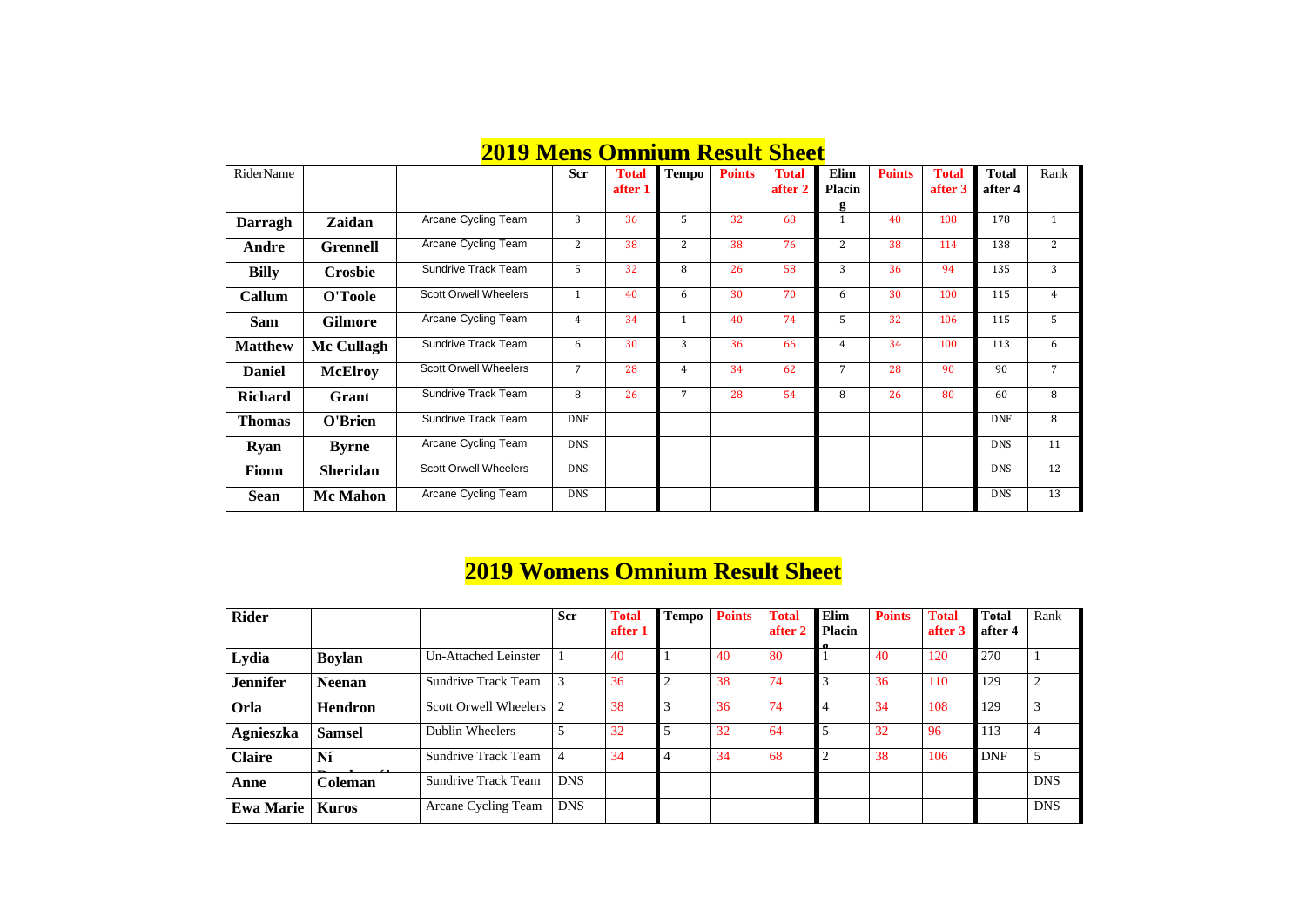#### **2019 Mens Omnium Result Sheet**

|                |                 | <u> Доту місню Онніцані Ілерані Мілесі</u> |                |              |              |               |              |                |               |              |              |                |
|----------------|-----------------|--------------------------------------------|----------------|--------------|--------------|---------------|--------------|----------------|---------------|--------------|--------------|----------------|
| RiderName      |                 |                                            | <b>Scr</b>     | <b>Total</b> | <b>Tempo</b> | <b>Points</b> | <b>Total</b> | Elim           | <b>Points</b> | <b>Total</b> | <b>Total</b> | Rank           |
|                |                 |                                            |                | after 1      |              |               | after 2      | <b>Placin</b>  |               | after 3      | after 4      |                |
|                |                 |                                            |                |              |              |               |              | g              |               |              |              |                |
| <b>Darragh</b> | <b>Zaidan</b>   | Arcane Cycling Team                        | 3              | 36           | 5            | 32            | 68           |                | 40            | 108          | 178          | $\mathbf{1}$   |
| Andre          | <b>Grennell</b> | Arcane Cycling Team                        | 2              | 38           | 2            | 38            | 76           | $\overline{2}$ | 38            | 114          | 138          | $\overline{2}$ |
| <b>Billy</b>   | <b>Crosbie</b>  | <b>Sundrive Track Team</b>                 | $5^{\circ}$    | 32           | 8            | 26            | 58           | 3              | 36            | 94           | 135          | 3              |
| <b>Callum</b>  | O'Toole         | <b>Scott Orwell Wheelers</b>               | 1              | 40           | 6            | 30            | 70           | 6              | 30            | 100          | 115          | $\overline{4}$ |
| <b>Sam</b>     | <b>Gilmore</b>  | Arcane Cycling Team                        | $\overline{4}$ | 34           | 1            | 40            | 74           | 5              | 32            | 106          | 115          | 5 <sup>1</sup> |
| <b>Matthew</b> | Mc Cullagh      | <b>Sundrive Track Team</b>                 | 6              | 30           | 3            | 36            | 66           | 4              | 34            | 100          | 113          | 6              |
| <b>Daniel</b>  | <b>McElroy</b>  | <b>Scott Orwell Wheelers</b>               | $\overline{7}$ | 28           | 4            | 34            | 62           | 7              | 28            | 90           | 90           | 7              |
| <b>Richard</b> | Grant           | <b>Sundrive Track Team</b>                 | 8              | 26           | 7            | 28            | 54           | 8              | 26            | 80           | 60           | 8              |
| <b>Thomas</b>  | O'Brien         | <b>Sundrive Track Team</b>                 | <b>DNF</b>     |              |              |               |              |                |               |              | <b>DNF</b>   | 8              |
| <b>Ryan</b>    | <b>Byrne</b>    | Arcane Cycling Team                        | <b>DNS</b>     |              |              |               |              |                |               |              | <b>DNS</b>   | 11             |
| <b>Fionn</b>   | <b>Sheridan</b> | <b>Scott Orwell Wheelers</b>               | <b>DNS</b>     |              |              |               |              |                |               |              | <b>DNS</b>   | 12             |
| <b>Sean</b>    | <b>Mc Mahon</b> | Arcane Cycling Team                        | <b>DNS</b>     |              |              |               |              |                |               |              | <b>DNS</b>   | 13             |

#### **2019 Womens Omnium Result Sheet**

| <b>otal</b><br>fter 4 | Rank           |
|-----------------------|----------------|
| 70                    | $\mathbf{1}$   |
| 29                    | $\overline{2}$ |
| 29                    | 3              |
| 13                    | $\overline{4}$ |
| )NF                   | 5              |
|                       | <b>DNS</b>     |
|                       | <b>DNS</b>     |

| <b>Rider</b>     |               |                              | <b>Scr</b> | <b>Total</b><br>after 1 | <b>Tempo</b> | <b>Points</b> | <b>Total</b><br>after 2 | <b>Elim</b><br><b>Placin</b><br>$\mathbf{u}$ | <b>Points</b> | <b>Total</b><br>after 3 | <b>Total</b><br>after 4 | Rank           |
|------------------|---------------|------------------------------|------------|-------------------------|--------------|---------------|-------------------------|----------------------------------------------|---------------|-------------------------|-------------------------|----------------|
| Lydia            | <b>Boylan</b> | <b>Un-Attached Leinster</b>  |            | 40                      |              | 40            | 80                      |                                              | 40            | 120                     | 270                     |                |
| <b>Jennifer</b>  | <b>Neenan</b> | <b>Sundrive Track Team</b>   |            | 36                      |              | 38            | 74                      |                                              | 36            | 110                     | 129                     | $\overline{2}$ |
| Orla             | Hendron       | <b>Scott Orwell Wheelers</b> |            | 38                      |              | 36            | 74                      |                                              | 34            | 108                     | 129                     | 3              |
| <b>Agnieszka</b> | <b>Samsel</b> | Dublin Wheelers              |            | 32                      |              | 32            | 64                      |                                              | 32            | 96                      | 113                     | $\overline{4}$ |
| <b>Claire</b>    | Ní            | <b>Sundrive Track Team</b>   | 4          | 34                      |              | 34            | 68                      |                                              | 38            | 106                     | <b>DNF</b>              | 5              |
| Anne             | Coleman       | <b>Sundrive Track Team</b>   | <b>DNS</b> |                         |              |               |                         |                                              |               |                         |                         | <b>DNS</b>     |
| Ewa Marie        | Kuros         | Arcane Cycling Team          | <b>DNS</b> |                         |              |               |                         |                                              |               |                         |                         | <b>DNS</b>     |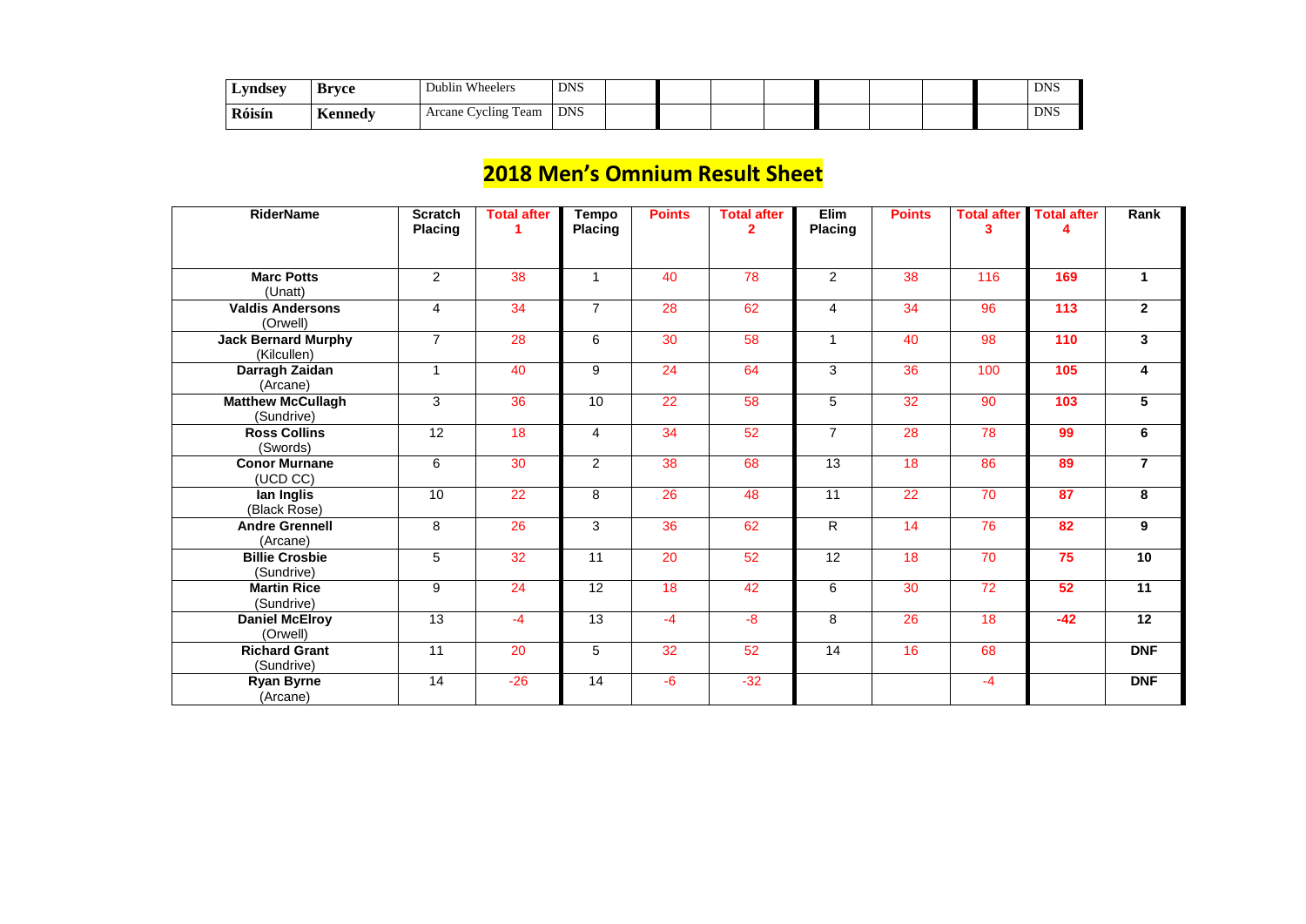| <b>Lyndsev</b> | Rrvce                         | Wheelers<br>Dublin         | <b>DNS</b> |  |  |  |  | <b>DNC</b><br>טוע |
|----------------|-------------------------------|----------------------------|------------|--|--|--|--|-------------------|
| Róisín         | $\mathbf{r}$<br><b>Kenned</b> | <b>Arcane Cycling Team</b> | <b>DNS</b> |  |  |  |  | <b>DNS</b>        |

#### **2018 Men's Omnium Result Sheet**

| <b>RiderName</b>                          | <b>Scratch</b><br><b>Placing</b> | <b>Total after</b> | <b>Tempo</b><br><b>Placing</b> | <b>Points</b> | <b>Total after</b><br>$\overline{2}$ | Elim<br><b>Placing</b> | <b>Points</b> | <b>Total after</b><br>3 | <b>Total after</b><br>Δ | Rank                 |
|-------------------------------------------|----------------------------------|--------------------|--------------------------------|---------------|--------------------------------------|------------------------|---------------|-------------------------|-------------------------|----------------------|
| <b>Marc Potts</b><br>(Unatt)              | $\overline{2}$                   | 38                 | $\mathbf{1}$                   | 40            | 78                                   | $\overline{2}$         | 38            | 116                     | 169                     | $\blacktriangleleft$ |
| <b>Valdis Andersons</b><br>(Orwell)       | $\overline{4}$                   | 34                 | $\overline{7}$                 | 28            | 62                                   | $\overline{4}$         | 34            | 96                      | 113                     | $\overline{2}$       |
| <b>Jack Bernard Murphy</b><br>(Kilcullen) | $\overline{7}$                   | 28                 | 6                              | 30            | 58                                   | $\mathbf 1$            | 40            | 98                      | 110                     | $\mathbf{3}$         |
| Darragh Zaidan<br>(Arcane)                | $\mathbf 1$                      | 40                 | 9                              | 24            | 64                                   | 3                      | 36            | 100                     | 105                     | 4                    |
| <b>Matthew McCullagh</b><br>(Sundrive)    | 3                                | 36                 | 10                             | 22            | 58                                   | 5                      | 32            | 90                      | 103                     | $5\phantom{.0}$      |
| <b>Ross Collins</b><br>(Swords)           | 12                               | 18                 | $\overline{4}$                 | 34            | 52                                   | $\overline{7}$         | 28            | 78                      | 99                      | 6                    |
| <b>Conor Murnane</b><br>(UCD CC)          | $6\phantom{1}$                   | 30                 | $\overline{2}$                 | 38            | 68                                   | 13                     | 18            | 86                      | 89                      | $\overline{7}$       |
| lan Inglis<br>(Black Rose)                | 10                               | 22                 | 8                              | 26            | 48                                   | 11                     | 22            | 70                      | 87                      | 8                    |
| <b>Andre Grennell</b><br>(Arcane)         | 8                                | 26                 | 3                              | 36            | 62                                   | $\mathsf{R}$           | 14            | 76                      | 82                      | $9^{\circ}$          |
| <b>Billie Crosbie</b><br>(Sundrive)       | 5                                | 32                 | 11                             | 20            | 52                                   | 12                     | 18            | 70                      | 75                      | 10                   |
| <b>Martin Rice</b><br>(Sundrive)          | 9                                | 24                 | 12                             | 18            | 42                                   | 6                      | 30            | 72                      | 52                      | 11                   |
| <b>Daniel McElroy</b><br>(Orwell)         | 13                               | $-4$               | 13                             | $-4$          | $-8$                                 | 8                      | 26            | 18                      | $-42$                   | 12                   |
| <b>Richard Grant</b><br>(Sundrive)        | 11                               | 20                 | 5                              | 32            | 52                                   | 14                     | 16            | 68                      |                         | <b>DNF</b>           |
| <b>Ryan Byrne</b><br>(Arcane)             | 14                               | $-26$              | 14                             | $-6$          | $-32$                                |                        |               | $-4$                    |                         | <b>DNF</b>           |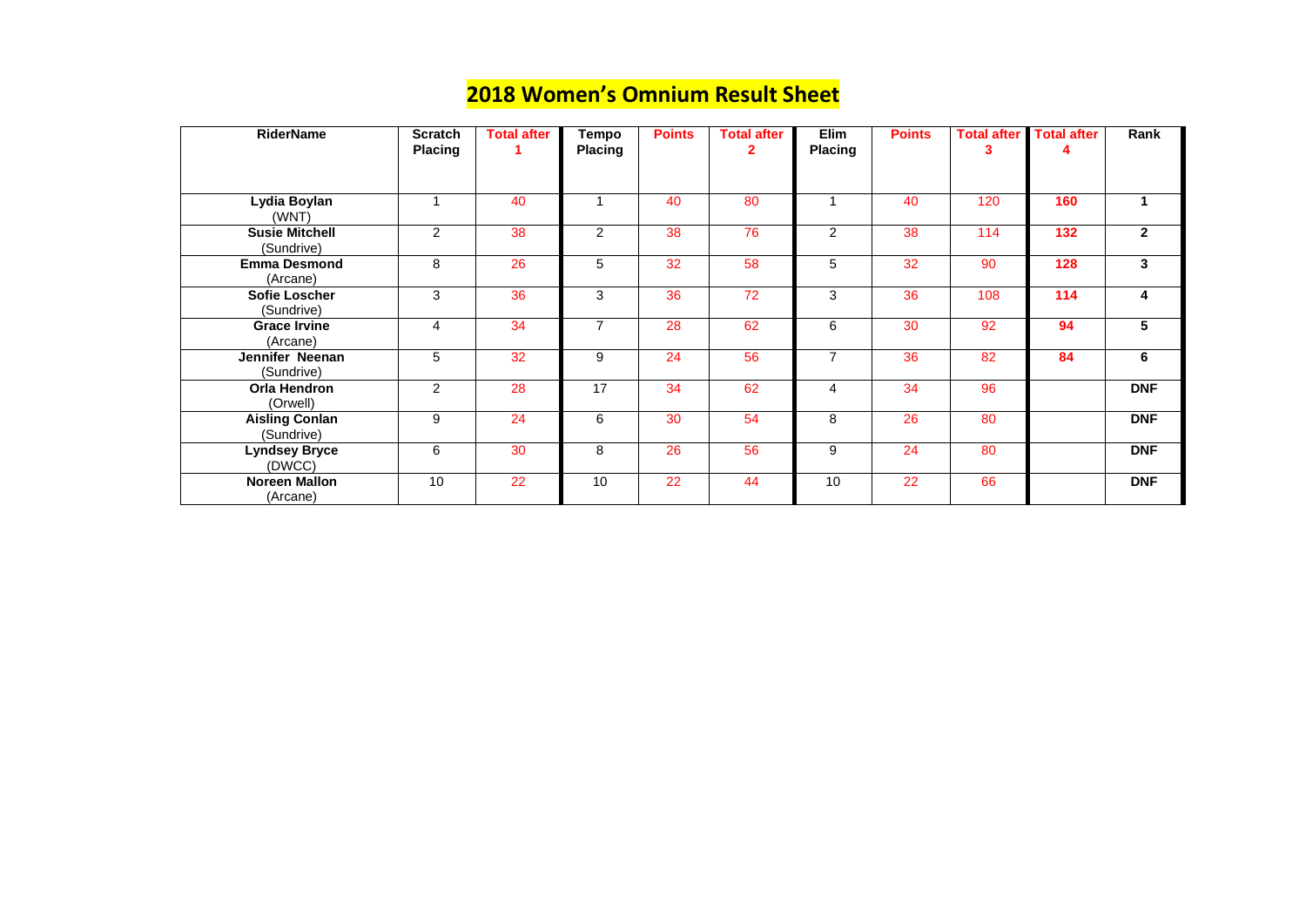#### **2018 Women's Omnium Result Sheet**

| <b>RiderName</b>                     | <b>Scratch</b><br><b>Placing</b> | <b>Total after</b> | <b>Tempo</b><br><b>Placing</b> | <b>Points</b> | <b>Total after</b><br>2 | Elim<br><b>Placing</b> | <b>Points</b> | <b>Total after</b><br>3 | <b>Total after</b> | Rank           |
|--------------------------------------|----------------------------------|--------------------|--------------------------------|---------------|-------------------------|------------------------|---------------|-------------------------|--------------------|----------------|
|                                      |                                  |                    |                                |               |                         |                        |               |                         |                    |                |
| Lydia Boylan<br>(WNT)                |                                  | 40                 |                                | 40            | 80                      |                        | 40            | 120                     | 160                | $\mathbf 1$    |
| <b>Susie Mitchell</b><br>(Sundrive)  | $\overline{2}$                   | 38                 | $\overline{2}$                 | 38            | 76                      | 2                      | 38            | 114                     | 132                | 2 <sup>1</sup> |
| <b>Emma Desmond</b><br>(Arcane)      | 8                                | 26                 | 5                              | 32            | 58                      | 5                      | 32            | 90                      | 128                | 3 <sup>1</sup> |
| <b>Sofie Loscher</b><br>(Sundrive)   | 3                                | 36                 | 3                              | 36            | 72                      | 3                      | 36            | 108                     | 114                | 4              |
| <b>Grace Irvine</b><br>(Arcane)      | $\overline{4}$                   | 34                 | $\overline{7}$                 | 28            | 62                      | 6                      | 30            | 92                      | 94                 | 5              |
| <b>Jennifer Neenan</b><br>(Sundrive) | 5                                | 32                 | 9                              | 24            | 56                      | $\overline{7}$         | 36            | 82                      | 84                 | $6\phantom{1}$ |
| <b>Orla Hendron</b><br>(Orwell)      | 2                                | 28                 | 17                             | 34            | 62                      | $\overline{4}$         | 34            | 96                      |                    | <b>DNF</b>     |
| <b>Aisling Conlan</b><br>(Sundrive)  | 9                                | 24                 | 6                              | 30            | 54                      | 8                      | 26            | 80                      |                    | <b>DNF</b>     |
| <b>Lyndsey Bryce</b><br>(DWCC)       | 6                                | 30                 | 8                              | 26            | 56                      | 9                      | 24            | 80                      |                    | <b>DNF</b>     |
| <b>Noreen Mallon</b><br>(Arcane)     | 10                               | 22                 | 10                             | 22            | 44                      | 10                     | 22            | 66                      |                    | <b>DNF</b>     |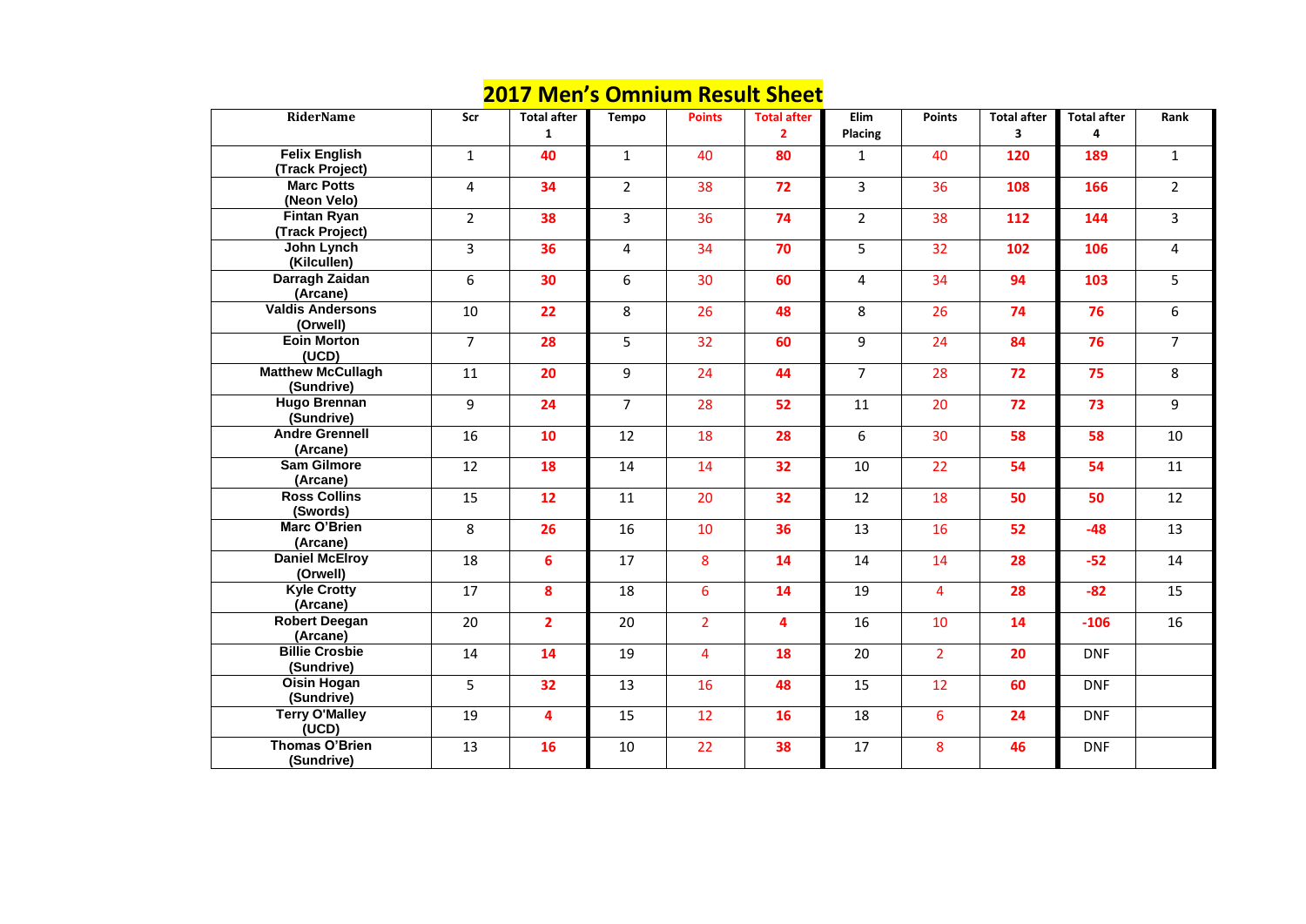#### **2017 Men's Omnium Result Sheet**

|                                         |                | <u>IVICII J</u>         |                |                | <u> SHIIIMIII ILCJAIL SHCCL</u>    |                 |                  |                         |                         |                |
|-----------------------------------------|----------------|-------------------------|----------------|----------------|------------------------------------|-----------------|------------------|-------------------------|-------------------------|----------------|
| <b>RiderName</b>                        | Scr            | <b>Total after</b><br>1 | <b>Tempo</b>   | <b>Points</b>  | <b>Total after</b><br>$\mathbf{2}$ | Elim<br>Placing | <b>Points</b>    | <b>Total after</b><br>3 | <b>Total after</b><br>4 | Ran            |
| <b>Felix English</b><br>(Track Project) | $\mathbf{1}$   | 40                      | $\mathbf{1}$   | 40             | 80                                 | $\mathbf{1}$    | 40               | 120                     | 189                     | $\mathbf{1}$   |
| <b>Marc Potts</b><br>(Neon Velo)        | $\overline{4}$ | 34                      | $\overline{2}$ | 38             | 72                                 | $\overline{3}$  | 36               | 108                     | 166                     | $\overline{2}$ |
| <b>Fintan Ryan</b><br>(Track Project)   | $\overline{2}$ | 38                      | $\overline{3}$ | 36             | 74                                 | $\overline{2}$  | 38               | 112                     | 144                     | $\overline{3}$ |
| John Lynch<br>(Kilcullen)               | $\overline{3}$ | 36                      | $\overline{4}$ | 34             | 70                                 | 5               | 32               | 102                     | 106                     | $\overline{4}$ |
| Darragh Zaidan<br>(Arcane)              | 6              | 30                      | 6              | 30             | 60                                 | $\overline{4}$  | 34               | 94                      | 103                     | 5              |
| <b>Valdis Andersons</b><br>(Orwell)     | 10             | 22                      | 8              | 26             | 48                                 | 8               | 26               | 74                      | 76                      | 6              |
| <b>Eoin Morton</b><br>(UCD)             | $\overline{7}$ | 28                      | 5              | 32             | 60                                 | 9               | 24               | 84                      | 76                      | $\overline{7}$ |
| <b>Matthew McCullagh</b><br>(Sundrive)  | 11             | 20                      | 9              | 24             | 44                                 | $\overline{7}$  | 28               | 72                      | 75                      | 8              |
| <b>Hugo Brennan</b><br>(Sundrive)       | 9              | 24                      | $\overline{7}$ | 28             | 52                                 | 11              | 20               | 72                      | 73                      | 9              |
| <b>Andre Grennell</b><br>(Arcane)       | 16             | 10                      | 12             | 18             | 28                                 | 6               | 30               | 58                      | 58                      | 10             |
| <b>Sam Gilmore</b><br>(Arcane)          | 12             | 18                      | 14             | 14             | 32                                 | 10              | 22               | 54                      | 54                      | 11             |
| <b>Ross Collins</b><br>(Swords)         | 15             | 12                      | 11             | 20             | 32                                 | 12              | 18               | 50                      | 50                      | 12             |
| <b>Marc O'Brien</b><br>(Arcane)         | 8              | 26                      | 16             | 10             | 36                                 | 13              | 16               | 52                      | $-48$                   | 13             |
| <b>Daniel McElroy</b><br>(Orwell)       | 18             | 6                       | 17             | 8              | 14                                 | 14              | 14               | 28                      | $-52$                   | 14             |
| <b>Kyle Crotty</b><br>(Arcane)          | 17             | 8                       | 18             | 6 <sup>1</sup> | 14                                 | 19              | $\overline{4}$   | 28                      | $-82$                   | 15             |
| <b>Robert Deegan</b><br>(Arcane)        | 20             | $\overline{2}$          | 20             | $2^{\circ}$    | 4                                  | 16              | 10               | 14                      | $-106$                  | 16             |
| <b>Billie Crosbie</b><br>(Sundrive)     | 14             | 14                      | 19             | $\overline{4}$ | 18                                 | 20              | 2 <sup>1</sup>   | 20                      | <b>DNF</b>              |                |
| <b>Oisin Hogan</b><br>(Sundrive)        | 5              | 32                      | 13             | 16             | 48                                 | 15              | 12               | 60                      | <b>DNF</b>              |                |
| <b>Terry O'Malley</b><br>(UCD)          | 19             | $\overline{\mathbf{4}}$ | 15             | 12             | <b>16</b>                          | 18              | $6 \overline{6}$ | 24                      | <b>DNF</b>              |                |
| <b>Thomas O'Brien</b><br>(Sundrive)     | 13             | <b>16</b>               | 10             | 22             | 38                                 | 17              | 8                | 46                      | <b>DNF</b>              |                |

| lim<br>cing             | <b>Points</b>  | <b>Total after</b><br>3 | <b>Total after</b><br>4 | Rank           |
|-------------------------|----------------|-------------------------|-------------------------|----------------|
| $\overline{1}$          | 40             | 120                     | <b>189</b>              | $\mathbf{1}$   |
| 3                       | 36             | 108                     | 166                     | $\overline{2}$ |
| $\overline{2}$          | 38             | 112                     | 144                     | 3              |
| 5                       | 32             | 102                     | 106                     | 4              |
| 4                       | 34             | 94                      | 103                     | 5              |
| $\overline{\mathbf{8}}$ | 26             | 74                      | 76                      | 6              |
| 9                       | 24             | 84                      | 76                      | $\overline{7}$ |
| $\overline{7}$          | 28             | 72                      | 75                      | 8              |
| $\overline{1}$          | 20             | 72                      | 73                      | 9              |
| 6                       | 30             | 58                      | 58                      | 10             |
| LO                      | 22             | 54                      | 54                      | 11             |
| $\overline{12}$         | 18             | 50                      | 50                      | 12             |
| L3                      | 16             | 52                      | $-48$                   | 13             |
| $\overline{14}$         | 14             | 28                      | $-52$                   | 14             |
| L9                      | 4              | 28                      | $-82$                   | 15             |
| L6                      | 10             | 14                      | $-106$                  | 16             |
| 20                      | $\overline{2}$ | 20                      | <b>DNF</b>              |                |
| L5                      | 12             | 60                      | <b>DNF</b>              |                |
| L8                      | 6              | 24                      | <b>DNF</b>              |                |
| $\overline{.7}$         | 8              | 46                      | <b>DNF</b>              |                |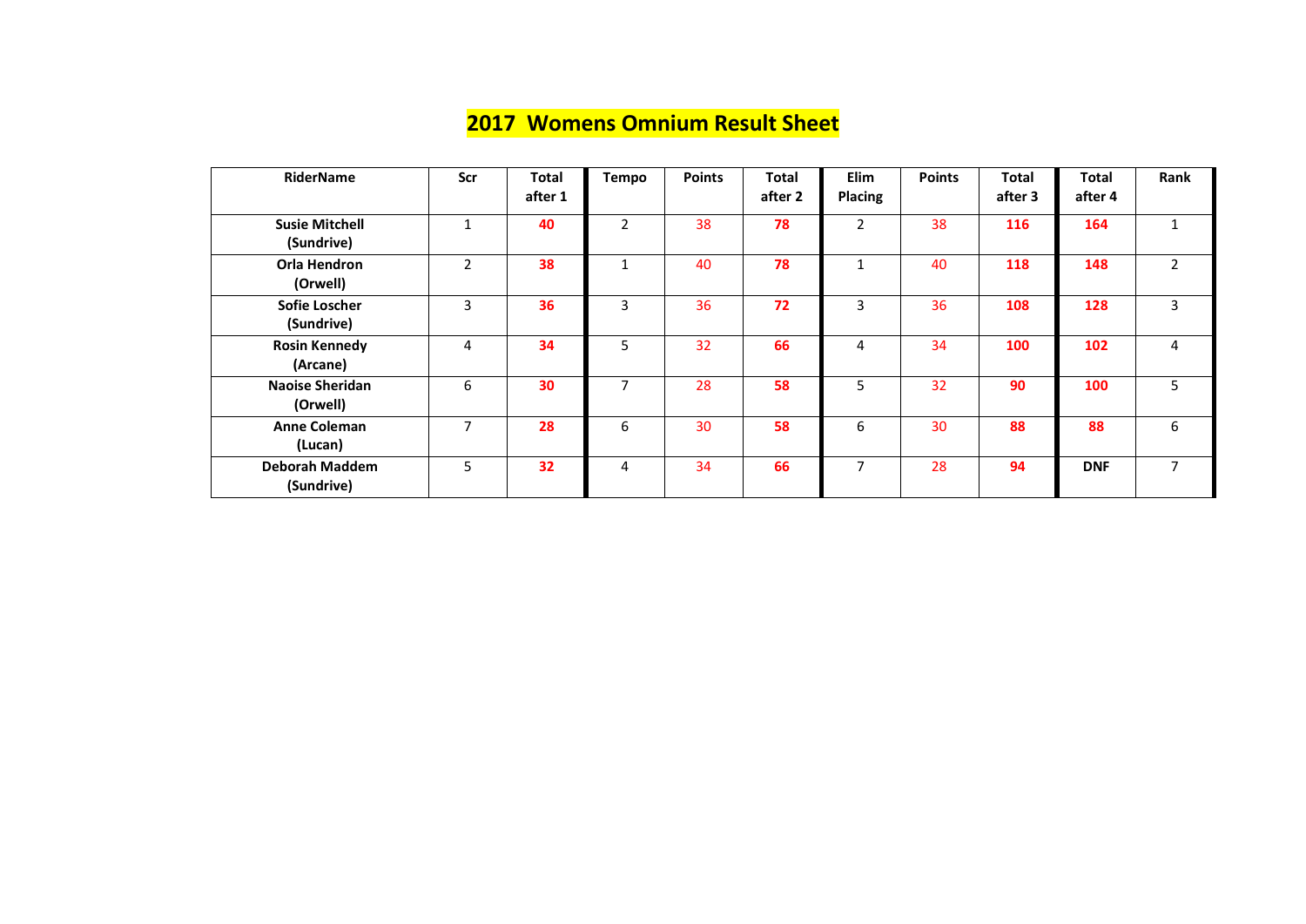### **2017 Womens Omnium Result Sheet**

| <b>RiderName</b>                    | Scr            | <b>Total</b><br>after 1 | <b>Tempo</b>   | <b>Points</b> | <b>Total</b><br>after 2 | Elim<br><b>Placing</b> | <b>Points</b> | <b>Total</b><br>after 3 | <b>Total</b><br>after 4 | Rank           |
|-------------------------------------|----------------|-------------------------|----------------|---------------|-------------------------|------------------------|---------------|-------------------------|-------------------------|----------------|
| <b>Susie Mitchell</b><br>(Sundrive) | $\mathbf{1}$   | 40                      | $\overline{2}$ | 38            | 78                      | $\overline{2}$         | 38            | 116                     | 164                     | $\mathbf{1}$   |
| <b>Orla Hendron</b><br>(Orwell)     | $2^{\circ}$    | 38                      | $\mathbf{1}$   | 40            | 78                      | $\mathbf{1}$           | 40            | 118                     | 148                     | $2^{\circ}$    |
| <b>Sofie Loscher</b><br>(Sundrive)  | 3              | 36                      | $\overline{3}$ | 36            | 72                      | 3                      | 36            | 108                     | 128                     | $\mathbf{3}$   |
| <b>Rosin Kennedy</b><br>(Arcane)    | 4              | 34                      | 5              | 32            | 66                      | $\overline{4}$         | 34            | 100                     | 102                     | $\overline{4}$ |
| <b>Naoise Sheridan</b><br>(Orwell)  | 6              | 30                      | $\overline{7}$ | 28            | 58                      | 5                      | 32            | 90                      | 100                     | 5              |
| <b>Anne Coleman</b><br>(Lucan)      | $\overline{7}$ | 28                      | 6              | 30            | 58                      | 6                      | 30            | 88                      | 88                      | 6              |
| <b>Deborah Maddem</b><br>(Sundrive) | 5              | 32                      | 4              | 34            | 66                      | $\overline{7}$         | 28            | 94                      | <b>DNF</b>              | $\overline{7}$ |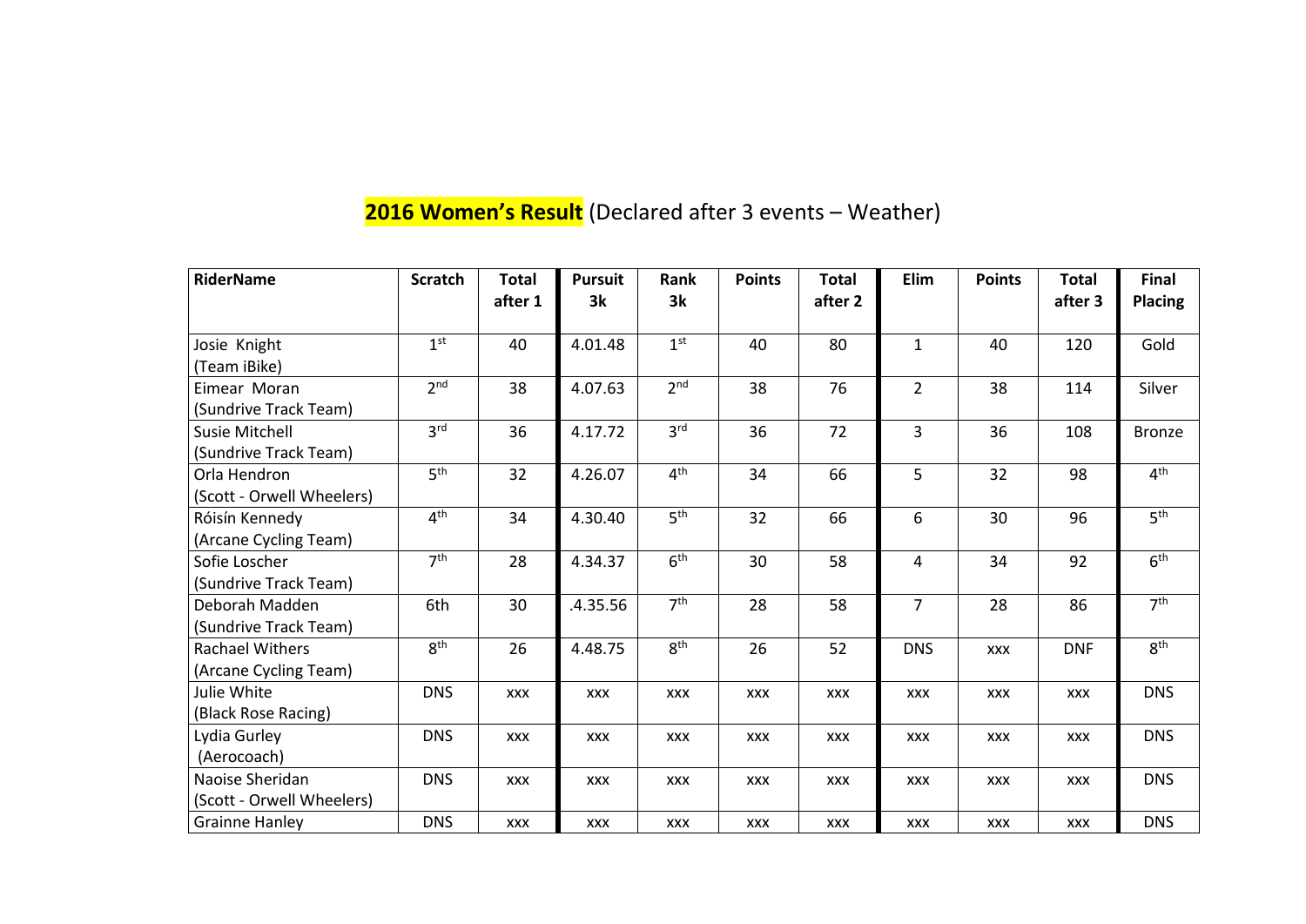# **2016 Women's Result** (Declared after 3 events – Weather)

| <b>RiderName</b>          | <b>Scratch</b>  | <b>Total</b><br>after 1 | <b>Pursuit</b><br>3k | Rank<br>3k      | <b>Points</b> | <b>Total</b><br>after 2 | Elim           | <b>Points</b> | <b>Total</b><br>after 3 | <b>Final</b><br><b>Placing</b> |
|---------------------------|-----------------|-------------------------|----------------------|-----------------|---------------|-------------------------|----------------|---------------|-------------------------|--------------------------------|
| Josie Knight              | 1 <sup>st</sup> | 40                      | 4.01.48              | 1 <sup>st</sup> | 40            | 80                      | $\mathbf{1}$   | 40            | 120                     | Gold                           |
| (Team iBike)              |                 |                         |                      |                 |               |                         |                |               |                         |                                |
| Eimear Moran              | 2 <sub>nd</sub> | 38                      | 4.07.63              | 2 <sup>nd</sup> | 38            | 76                      | $\overline{2}$ | 38            | 114                     | Silver                         |
| (Sundrive Track Team)     |                 |                         |                      |                 |               |                         |                |               |                         |                                |
| <b>Susie Mitchell</b>     | 3 <sup>rd</sup> | 36                      | 4.17.72              | 3 <sup>rd</sup> | 36            | 72                      | $\overline{3}$ | 36            | 108                     | <b>Bronze</b>                  |
| (Sundrive Track Team)     |                 |                         |                      |                 |               |                         |                |               |                         |                                |
| Orla Hendron              | 5 <sup>th</sup> | 32                      | 4.26.07              | 4 <sup>th</sup> | 34            | 66                      | 5              | 32            | 98                      | 4 <sup>th</sup>                |
| (Scott - Orwell Wheelers) |                 |                         |                      |                 |               |                         |                |               |                         |                                |
| Róisín Kennedy            | 4 <sup>th</sup> | 34                      | 4.30.40              | 5 <sup>th</sup> | 32            | 66                      | 6              | 30            | 96                      | 5 <sup>th</sup>                |
| (Arcane Cycling Team)     |                 |                         |                      |                 |               |                         |                |               |                         |                                |
| Sofie Loscher             | 7 <sup>th</sup> | 28                      | 4.34.37              | 6 <sup>th</sup> | 30            | 58                      | $\overline{4}$ | 34            | 92                      | 6 <sup>th</sup>                |
| (Sundrive Track Team)     |                 |                         |                      |                 |               |                         |                |               |                         |                                |
| Deborah Madden            | 6th             | 30                      | .4.35.56             | 7 <sup>th</sup> | 28            | 58                      | $\overline{7}$ | 28            | 86                      | 7 <sup>th</sup>                |
| (Sundrive Track Team)     |                 |                         |                      |                 |               |                         |                |               |                         |                                |
| <b>Rachael Withers</b>    | 8 <sup>th</sup> | 26                      | 4.48.75              | 8 <sup>th</sup> | 26            | 52                      | <b>DNS</b>     | <b>XXX</b>    | <b>DNF</b>              | 8 <sup>th</sup>                |
| (Arcane Cycling Team)     |                 |                         |                      |                 |               |                         |                |               |                         |                                |
| Julie White               | <b>DNS</b>      | <b>XXX</b>              | <b>XXX</b>           | <b>XXX</b>      | <b>XXX</b>    | <b>XXX</b>              | <b>XXX</b>     | <b>XXX</b>    | <b>XXX</b>              | <b>DNS</b>                     |
| (Black Rose Racing)       |                 |                         |                      |                 |               |                         |                |               |                         |                                |
| Lydia Gurley              | <b>DNS</b>      | <b>XXX</b>              | <b>XXX</b>           | <b>XXX</b>      | <b>XXX</b>    | <b>XXX</b>              | <b>XXX</b>     | <b>XXX</b>    | <b>XXX</b>              | <b>DNS</b>                     |
| (Aerocoach)               |                 |                         |                      |                 |               |                         |                |               |                         |                                |
| Naoise Sheridan           | <b>DNS</b>      | <b>XXX</b>              | <b>XXX</b>           | <b>XXX</b>      | <b>XXX</b>    | <b>XXX</b>              | <b>XXX</b>     | <b>XXX</b>    | <b>XXX</b>              | <b>DNS</b>                     |
| (Scott - Orwell Wheelers) |                 |                         |                      |                 |               |                         |                |               |                         |                                |
| <b>Grainne Hanley</b>     | <b>DNS</b>      | <b>XXX</b>              | <b>XXX</b>           | <b>XXX</b>      | <b>XXX</b>    | <b>XXX</b>              | <b>XXX</b>     | <b>XXX</b>    | <b>XXX</b>              | <b>DNS</b>                     |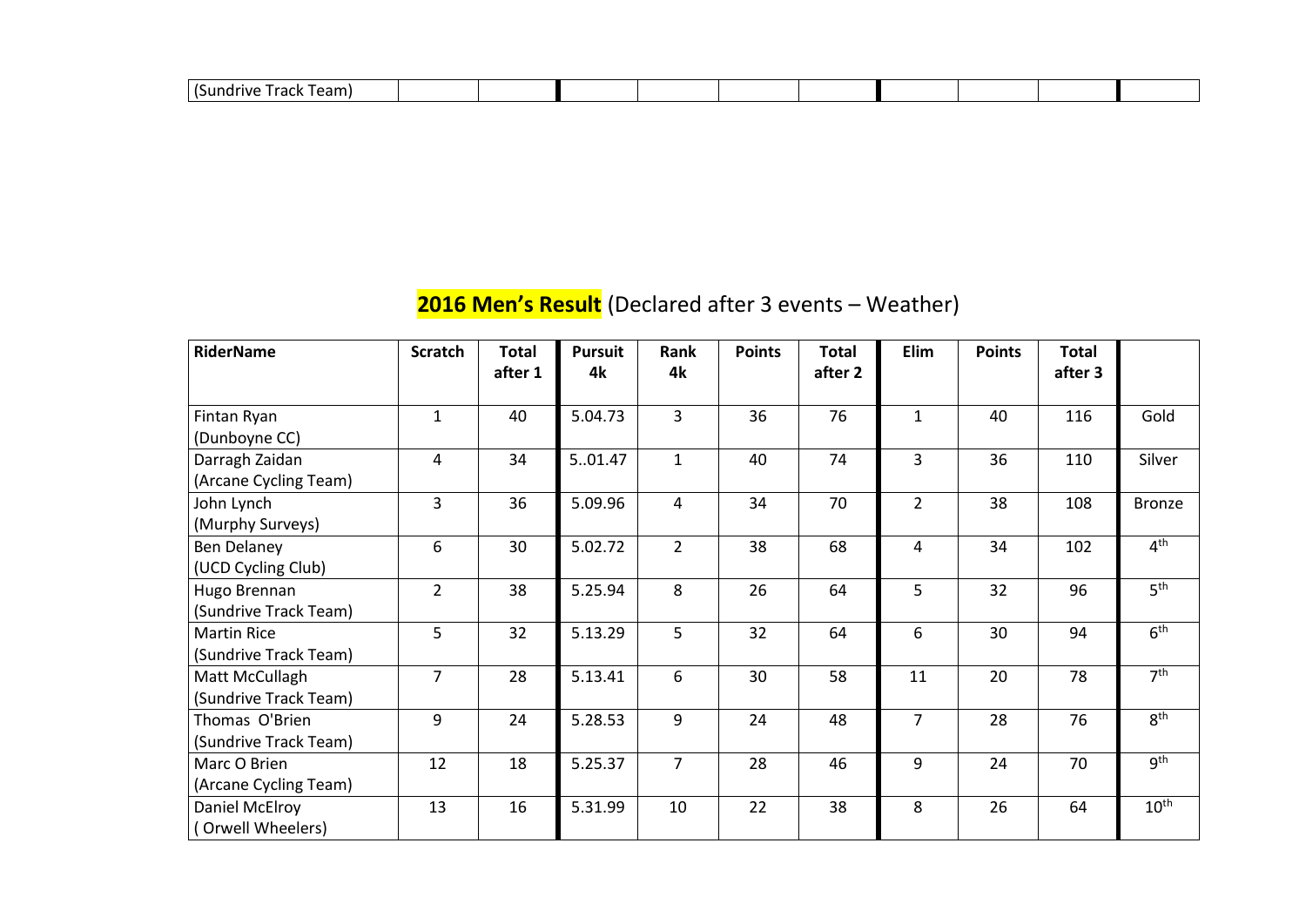| $\sqrt{2}$<br>$\sim$<br>-all.<br><i>.</i> |  |  |  |  |
|-------------------------------------------|--|--|--|--|
|                                           |  |  |  |  |

### **2016 Men's Result** (Declared after 3 events – Weather)

| <b>RiderName</b>                            | <b>Scratch</b> | <b>Total</b> | <b>Pursuit</b> | Rank           | <b>Points</b> | <b>Total</b> | Elim           | <b>Points</b> | <b>Total</b> |                  |
|---------------------------------------------|----------------|--------------|----------------|----------------|---------------|--------------|----------------|---------------|--------------|------------------|
|                                             |                | after 1      | 4k             | 4k             |               | after 2      |                |               | after 3      |                  |
| Fintan Ryan<br>(Dunboyne CC)                | $\mathbf{1}$   | 40           | 5.04.73        | $\overline{3}$ | 36            | 76           | $\mathbf{1}$   | 40            | 116          | Gold             |
| Darragh Zaidan<br>(Arcane Cycling Team)     | $\overline{4}$ | 34           | 501.47         | $\mathbf{1}$   | 40            | 74           | $\overline{3}$ | 36            | 110          | Silver           |
| John Lynch<br>(Murphy Surveys)              | $\overline{3}$ | 36           | 5.09.96        | $\overline{4}$ | 34            | 70           | $2^{\circ}$    | 38            | 108          | <b>Bronze</b>    |
| <b>Ben Delaney</b><br>(UCD Cycling Club)    | 6              | 30           | 5.02.72        | $\overline{2}$ | 38            | 68           | $\overline{4}$ | 34            | 102          | 4 <sup>th</sup>  |
| Hugo Brennan<br>(Sundrive Track Team)       | $\overline{2}$ | 38           | 5.25.94        | 8              | 26            | 64           | 5              | 32            | 96           | 5 <sup>th</sup>  |
| <b>Martin Rice</b><br>(Sundrive Track Team) | 5              | 32           | 5.13.29        | 5              | 32            | 64           | 6              | 30            | 94           | 6 <sup>th</sup>  |
| Matt McCullagh<br>(Sundrive Track Team)     | $\overline{7}$ | 28           | 5.13.41        | 6              | 30            | 58           | 11             | 20            | 78           | 7 <sup>th</sup>  |
| Thomas O'Brien<br>(Sundrive Track Team)     | 9              | 24           | 5.28.53        | 9              | 24            | 48           | $\overline{7}$ | 28            | 76           | 8 <sup>th</sup>  |
| Marc O Brien<br>(Arcane Cycling Team)       | 12             | 18           | 5.25.37        | $\overline{7}$ | 28            | 46           | 9              | 24            | 70           | g <sup>th</sup>  |
| Daniel McElroy<br>(Orwell Wheelers)         | 13             | 16           | 5.31.99        | 10             | 22            | 38           | 8              | 26            | 64           | 10 <sup>th</sup> |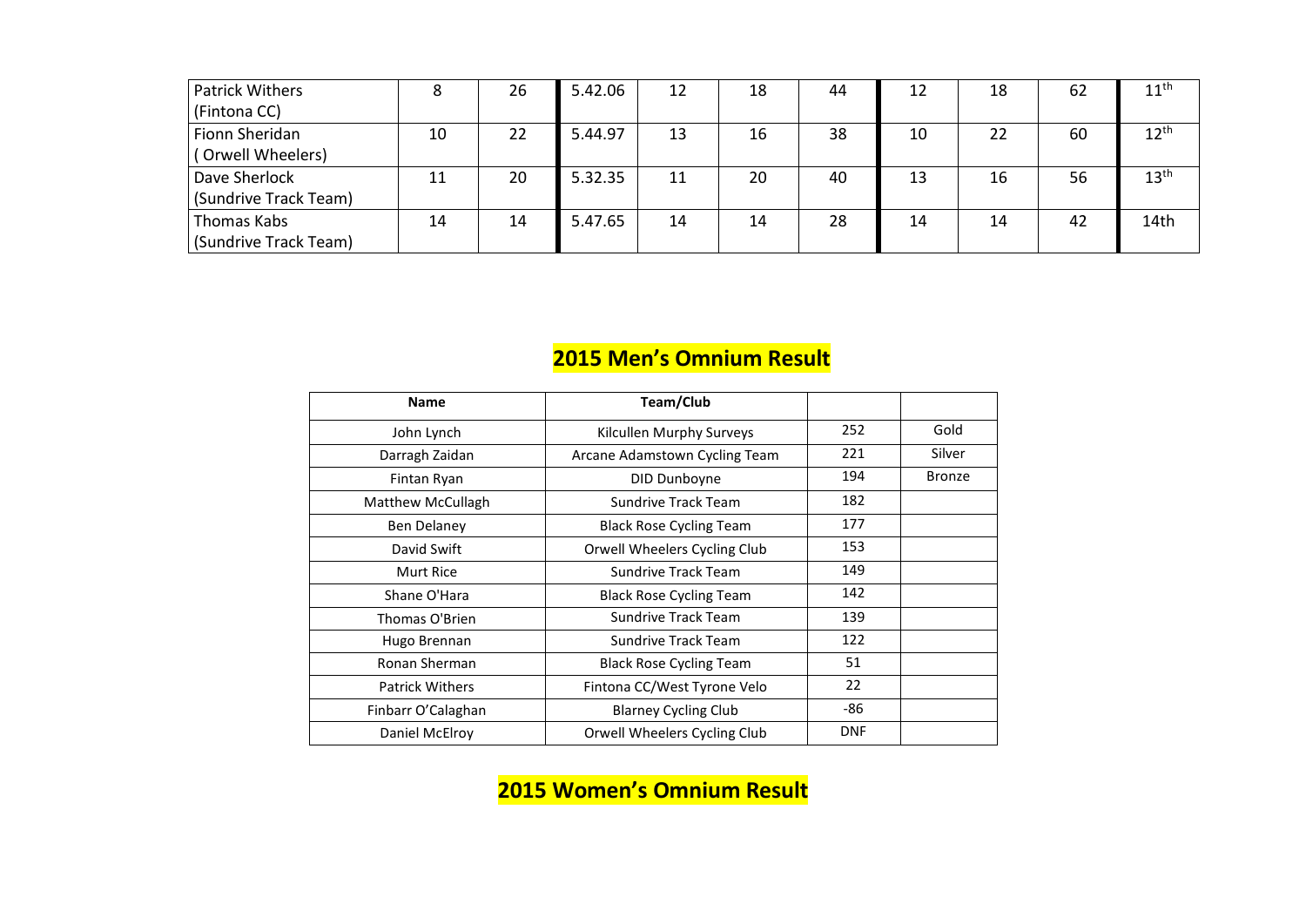| <b>Patrick Withers</b> | 8  | 26 | 5.42.06 | 12 | 18 | 44 | 12 | 18 | 62 | $11^{\text{th}}$ |
|------------------------|----|----|---------|----|----|----|----|----|----|------------------|
| (Fintona CC)           |    |    |         |    |    |    |    |    |    |                  |
| <b>Fionn Sheridan</b>  | 10 | 22 | 5.44.97 | 13 | 16 | 38 | 10 | 22 | 60 | 12 <sup>th</sup> |
| (Orwell Wheelers)      |    |    |         |    |    |    |    |    |    |                  |
| Dave Sherlock          | 11 | 20 | 5.32.35 | 11 | 20 | 40 | 13 | 16 | 56 | $13^{\text{th}}$ |
| (Sundrive Track Team)  |    |    |         |    |    |    |    |    |    |                  |
| <b>Thomas Kabs</b>     | 14 | 14 | 5.47.65 | 14 | 14 | 28 | 14 | 14 | 42 | 14th             |
| (Sundrive Track Team)  |    |    |         |    |    |    |    |    |    |                  |

#### **2015 Men's Omnium Result**

| <b>Name</b>              | Team/Club                           |            |               |
|--------------------------|-------------------------------------|------------|---------------|
| John Lynch               | Kilcullen Murphy Surveys            | 252        | Gold          |
| Darragh Zaidan           | Arcane Adamstown Cycling Team       | 221        | Silver        |
| Fintan Ryan              | DID Dunboyne                        | 194        | <b>Bronze</b> |
| <b>Matthew McCullagh</b> | <b>Sundrive Track Team</b>          | 182        |               |
| <b>Ben Delaney</b>       | <b>Black Rose Cycling Team</b>      | 177        |               |
| David Swift              | <b>Orwell Wheelers Cycling Club</b> | 153        |               |
| <b>Murt Rice</b>         | <b>Sundrive Track Team</b>          | 149        |               |
| Shane O'Hara             | <b>Black Rose Cycling Team</b>      | 142        |               |
| Thomas O'Brien           | <b>Sundrive Track Team</b>          | 139        |               |
| Hugo Brennan             | <b>Sundrive Track Team</b>          | 122        |               |
| Ronan Sherman            | <b>Black Rose Cycling Team</b>      | 51         |               |
| <b>Patrick Withers</b>   | Fintona CC/West Tyrone Velo         | 22         |               |
| Finbarr O'Calaghan       | <b>Blarney Cycling Club</b>         | $-86$      |               |
| Daniel McElroy           | <b>Orwell Wheelers Cycling Club</b> | <b>DNF</b> |               |

#### **2015 Women's Omnium Result**

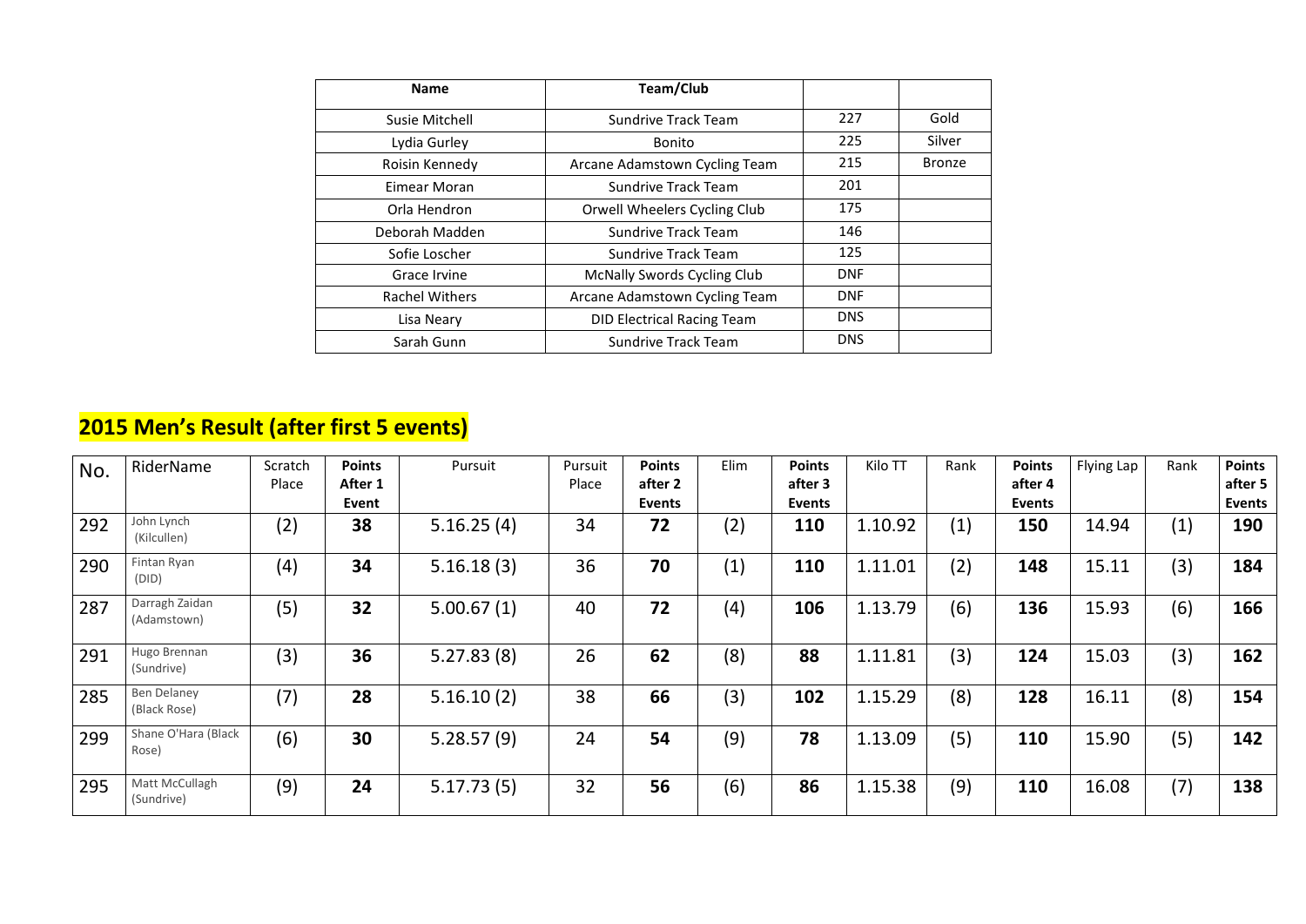| <b>Name</b>           | Team/Club                           |            |               |
|-----------------------|-------------------------------------|------------|---------------|
| Susie Mitchell        | <b>Sundrive Track Team</b>          | 227        | Gold          |
| Lydia Gurley          | <b>Bonito</b>                       | 225        | Silver        |
| Roisin Kennedy        | Arcane Adamstown Cycling Team       | 215        | <b>Bronze</b> |
| Eimear Moran          | <b>Sundrive Track Team</b>          | 201        |               |
| Orla Hendron          | <b>Orwell Wheelers Cycling Club</b> | 175        |               |
| Deborah Madden        | <b>Sundrive Track Team</b>          | 146        |               |
| Sofie Loscher         | <b>Sundrive Track Team</b>          | 125        |               |
| <b>Grace Irvine</b>   | <b>McNally Swords Cycling Club</b>  | <b>DNF</b> |               |
| <b>Rachel Withers</b> | Arcane Adamstown Cycling Team       | <b>DNF</b> |               |
| Lisa Neary            | <b>DID Electrical Racing Team</b>   | <b>DNS</b> |               |
| Sarah Gunn            | <b>Sundrive Track Team</b>          | <b>DNS</b> |               |

#### **2015 Men's Result (after first 5 events)**

| No. | RiderName                          | Scratch<br>Place | <b>Points</b><br>After 1<br>Event | Pursuit    | Pursuit<br>Place | <b>Points</b><br>after 2<br><b>Events</b> | Elim | <b>Points</b><br>after 3<br><b>Events</b> | Kilo TT | Rank | <b>Points</b><br>after 4<br><b>Events</b> | Flying Lap | Rank | <b>Points</b><br>after 5<br><b>Events</b> |
|-----|------------------------------------|------------------|-----------------------------------|------------|------------------|-------------------------------------------|------|-------------------------------------------|---------|------|-------------------------------------------|------------|------|-------------------------------------------|
| 292 | John Lynch<br>(Kilcullen)          | (2)              | 38                                | 5.16.25(4) | 34               | 72                                        | (2)  | 110                                       | 1.10.92 | (1)  | 150                                       | 14.94      | (1)  | 190                                       |
| 290 | Fintan Ryan<br>(DID)               | (4)              | 34                                | 5.16.18(3) | 36               | 70                                        | (1)  | 110                                       | 1.11.01 | (2)  | 148                                       | 15.11      | (3)  | 184                                       |
| 287 | Darragh Zaidan<br>(Adamstown)      | (5)              | 32                                | 5.00.67(1) | 40               | 72                                        | (4)  | 106                                       | 1.13.79 | (6)  | 136                                       | 15.93      | (6)  | 166                                       |
| 291 | Hugo Brennan<br>(Sundrive)         | (3)              | 36                                | 5.27.83(8) | 26               | 62                                        | (8)  | 88                                        | 1.11.81 | (3)  | 124                                       | 15.03      | (3)  | 162                                       |
| 285 | <b>Ben Delaney</b><br>(Black Rose) | (7)              | 28                                | 5.16.10(2) | 38               | 66                                        | (3)  | 102                                       | 1.15.29 | (8)  | 128                                       | 16.11      | (8)  | 154                                       |
| 299 | Shane O'Hara (Black<br>Rose)       | (6)              | 30                                | 5.28.57(9) | 24               | 54                                        | (9)  | 78                                        | 1.13.09 | (5)  | 110                                       | 15.90      | (5)  | 142                                       |
| 295 | Matt McCullagh<br>(Sundrive)       | (9)              | 24                                | 5.17.73(5) | 32               | 56                                        | (6)  | 86                                        | 1.15.38 | (9)  | 110                                       | 16.08      | (7)  | 138                                       |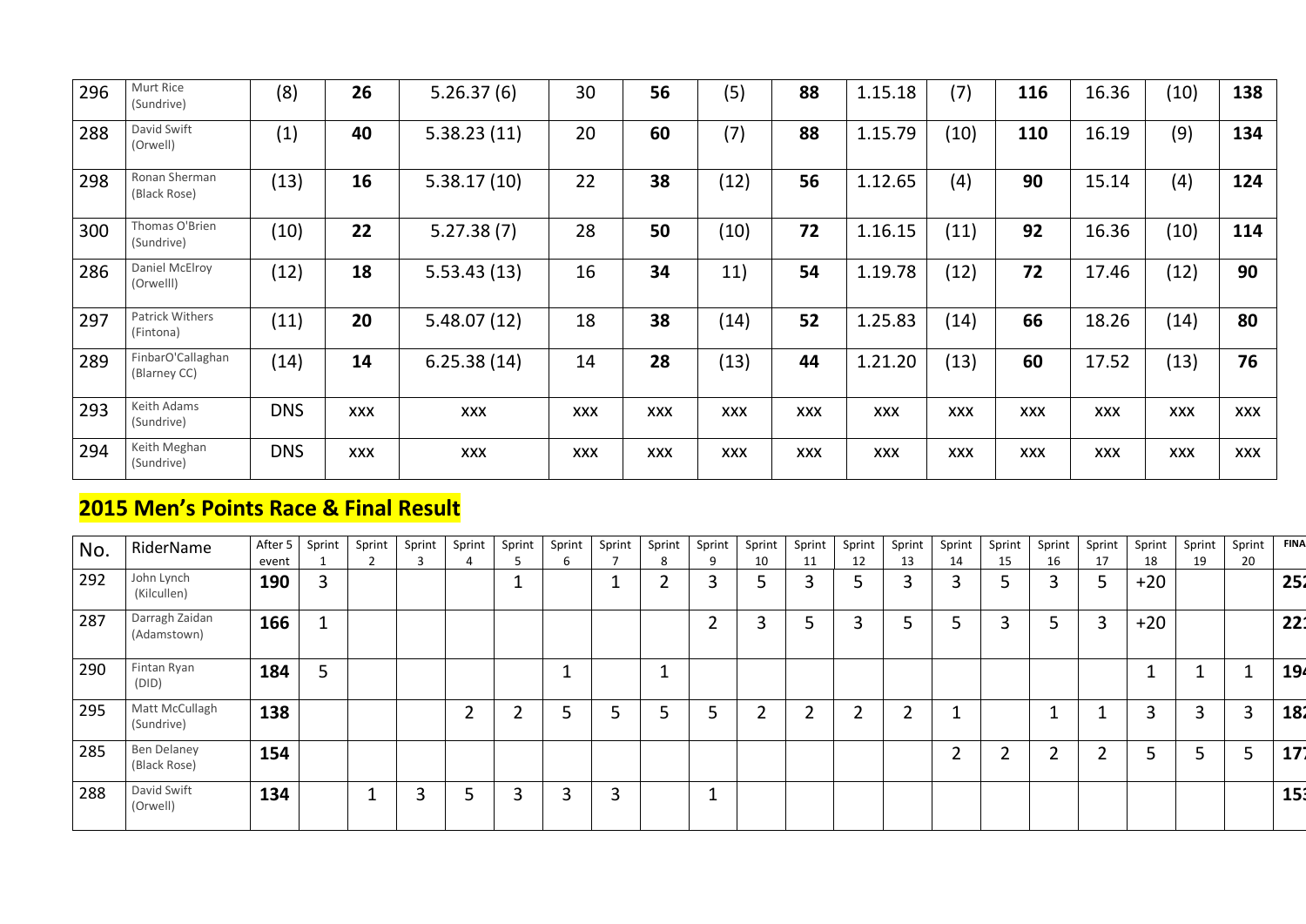| 296 | Murt Rice<br>(Sundrive)           | (8)        | 26         | 5.26.37(6)  | 30         | 56         | (5)        | 88         | 1.15.18    | (7)        | <b>116</b> | 16.36      | (10)       | 138        |
|-----|-----------------------------------|------------|------------|-------------|------------|------------|------------|------------|------------|------------|------------|------------|------------|------------|
| 288 | David Swift<br>(Orwell)           | (1)        | 40         | 5.38.23(11) | 20         | 60         | (7)        | 88         | 1.15.79    | (10)       | 110        | 16.19      | (9)        | 134        |
| 298 | Ronan Sherman<br>(Black Rose)     | (13)       | 16         | 5.38.17(10) | 22         | 38         | (12)       | 56         | 1.12.65    | (4)        | 90         | 15.14      | (4)        | 124        |
| 300 | Thomas O'Brien<br>(Sundrive)      | (10)       | 22         | 5.27.38(7)  | 28         | 50         | (10)       | 72         | 1.16.15    | (11)       | 92         | 16.36      | (10)       | 114        |
| 286 | Daniel McElroy<br>(Orwelll)       | (12)       | 18         | 5.53.43(13) | 16         | 34         | 11)        | 54         | 1.19.78    | (12)       | 72         | 17.46      | (12)       | 90         |
| 297 | Patrick Withers<br>(Fintona)      | (11)       | 20         | 5.48.07(12) | 18         | 38         | (14)       | 52         | 1.25.83    | (14)       | 66         | 18.26      | (14)       | 80         |
| 289 | FinbarO'Callaghan<br>(Blarney CC) | (14)       | 14         | 6.25.38(14) | 14         | 28         | (13)       | 44         | 1.21.20    | (13)       | 60         | 17.52      | (13)       | 76         |
| 293 | Keith Adams<br>(Sundrive)         | <b>DNS</b> | <b>XXX</b> | <b>XXX</b>  | <b>XXX</b> | <b>XXX</b> | <b>XXX</b> | <b>XXX</b> | <b>XXX</b> | <b>XXX</b> | <b>XXX</b> | <b>XXX</b> | <b>XXX</b> | <b>XXX</b> |
| 294 | Keith Meghan<br>(Sundrive)        | <b>DNS</b> | <b>XXX</b> | <b>XXX</b>  | <b>XXX</b> | <b>XXX</b> | <b>XXX</b> | <b>XXX</b> | <b>XXX</b> | <b>XXX</b> | <b>XXX</b> | <b>XXX</b> | <b>XXX</b> | <b>XXX</b> |

#### **2015 Men's Points Race & Final Result**

| No. | RiderName                     | After 5<br>event | Sprint | Sprint | Sprint | Sprint | Sprint | Sprint      | Sprint | Sprint<br>8 | Sprint | Sprint<br>10 | Sprint<br>11 | Sprint<br>12 | Sprint<br>13   | Sprint<br>14 | Sprint<br>15        | Sprint<br>16 | Sprint<br>17             | Sprint<br>18 | Sprint<br>19 | Sprint<br>20 | <b>FINA</b> |
|-----|-------------------------------|------------------|--------|--------|--------|--------|--------|-------------|--------|-------------|--------|--------------|--------------|--------------|----------------|--------------|---------------------|--------------|--------------------------|--------------|--------------|--------------|-------------|
| 292 | John Lynch<br>(Kilcullen)     | <b>190</b>       | 3      |        |        |        |        |             |        | ◠           | 3      | ⊐            | 3            | 5            | $\overline{3}$ | ົ            | 5                   | 3            | 5                        | $+20$        |              |              | 252         |
| 287 | Darragh Zaidan<br>(Adamstown) | 166              |        |        |        |        |        |             |        |             | ◠      | 3            | 5            |              | 5              |              | 3                   | ⊐            | 3                        | $+20$        |              |              | 22:         |
| 290 | Fintan Ryan<br>(DID)          | 184              | C      |        |        |        |        | $\mathbf 1$ |        |             |        |              |              |              |                |              |                     |              |                          |              |              |              | 194         |
| 295 | Matt McCullagh<br>(Sundrive)  | 138              |        |        |        | C.     |        |             |        |             | C      |              | ി            | ີ            | ി<br>∠         |              |                     |              | $\overline{\phantom{a}}$ | 3            | 3            | 3            | 182         |
| 285 | Ben Delaney<br>(Black Rose)   | 154              |        |        |        |        |        |             |        |             |        |              |              |              |                |              | $\mathfrak{D}$<br>∠ | ำ            | ി                        | ⊐            | Ͻ            | -<br>⊃       | 171         |
| 288 | David Swift<br>(Orwell)       | 134              |        |        | ำ<br>⊃ |        |        |             | 3      |             |        |              |              |              |                |              |                     |              |                          |              |              |              | 15          |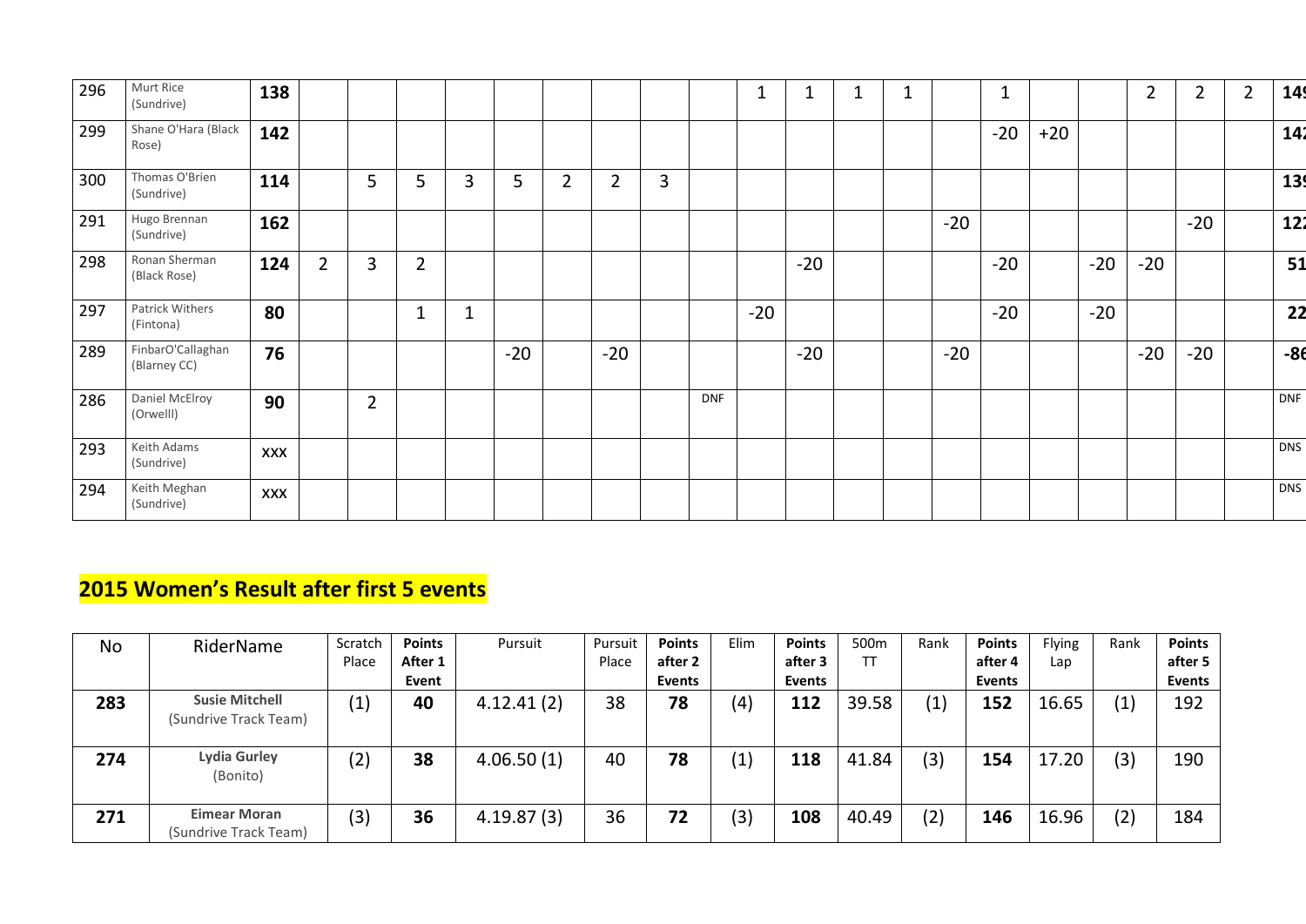| 296 | Murt Rice<br>(Sundrive)           | 138        |                |                |                |                |       |                |                |                |            |       |       | $\mathbf 1$ |       | $\mathbf 1$ |       |       | $\overline{2}$ | $\overline{2}$ | $\overline{2}$ | 149   |
|-----|-----------------------------------|------------|----------------|----------------|----------------|----------------|-------|----------------|----------------|----------------|------------|-------|-------|-------------|-------|-------------|-------|-------|----------------|----------------|----------------|-------|
| 299 | Shane O'Hara (Black<br>Rose)      | 142        |                |                |                |                |       |                |                |                |            |       |       |             |       | $-20$       | $+20$ |       |                |                |                | 142   |
| 300 | Thomas O'Brien<br>(Sundrive)      | 114        |                | 5              | 5              | $\overline{3}$ | 5     | 2 <sup>1</sup> | $\overline{2}$ | $\overline{3}$ |            |       |       |             |       |             |       |       |                |                |                | 139   |
| 291 | Hugo Brennan<br>(Sundrive)        | 162        |                |                |                |                |       |                |                |                |            |       |       |             | $-20$ |             |       |       |                | $-20$          |                | 122   |
| 298 | Ronan Sherman<br>(Black Rose)     | 124        | $\overline{2}$ | 3              | $\overline{2}$ |                |       |                |                |                |            |       | $-20$ |             |       | $-20$       |       | $-20$ | $-20$          |                |                | 51    |
| 297 | Patrick Withers<br>(Fintona)      | 80         |                |                | $\mathbf{1}$   | $\mathbf 1$    |       |                |                |                |            | $-20$ |       |             |       | $-20$       |       | $-20$ |                |                |                | 22    |
| 289 | FinbarO'Callaghan<br>(Blarney CC) | 76         |                |                |                |                | $-20$ |                | $-20$          |                |            |       | $-20$ |             | $-20$ |             |       |       | $-20$          | $-20$          |                | $-86$ |
| 286 | Daniel McElroy<br>(Orwelll)       | 90         |                | $\overline{2}$ |                |                |       |                |                |                | <b>DNF</b> |       |       |             |       |             |       |       |                |                |                | DNF   |
| 293 | Keith Adams<br>(Sundrive)         | <b>XXX</b> |                |                |                |                |       |                |                |                |            |       |       |             |       |             |       |       |                |                |                | DNS   |
| 294 | Keith Meghan<br>(Sundrive)        | <b>XXX</b> |                |                |                |                |       |                |                |                |            |       |       |             |       |             |       |       |                |                |                | DNS   |

#### **2015 Women's Result after first 5 events**

| <b>No</b> | RiderName                                      | Scratch                  | <b>Points</b> | Pursuit    | Pursuit | <b>Points</b> | Elim | <b>Points</b> | 500m  | Rank | <b>Points</b> | Flying | Rank | <b>Points</b> |
|-----------|------------------------------------------------|--------------------------|---------------|------------|---------|---------------|------|---------------|-------|------|---------------|--------|------|---------------|
|           |                                                | Place                    | After 1       |            | Place   | after 2       |      | after 3       | TT    |      | after 4       | Lap    |      | after 5       |
|           |                                                |                          | Event         |            |         | <b>Events</b> |      | <b>Events</b> |       |      | <b>Events</b> |        |      | <b>Events</b> |
| 283       | <b>Susie Mitchell</b><br>(Sundrive Track Team) | $\left  1 \right\rangle$ | 40            | 4.12.41(2) | 38      | 78            | (4)  | 112           | 39.58 | (1)  | 152           | 16.65  | (1)  | 192           |
| 274       | <b>Lydia Gurley</b><br>(Bonito)                | (2)                      | 38            | 4.06.50(1) | 40      | 78            | (1)  | 118           | 41.84 | (3)  | 154           | 17.20  | (3)  | 190           |
| 271       | <b>Eimear Moran</b><br>(Sundrive Track Team)   | (3)                      | 36            | 4.19.87(3) | 36      | 72            | (3)  | 108           | 40.49 | (2)  | 146           | 16.96  | (2)  | 184           |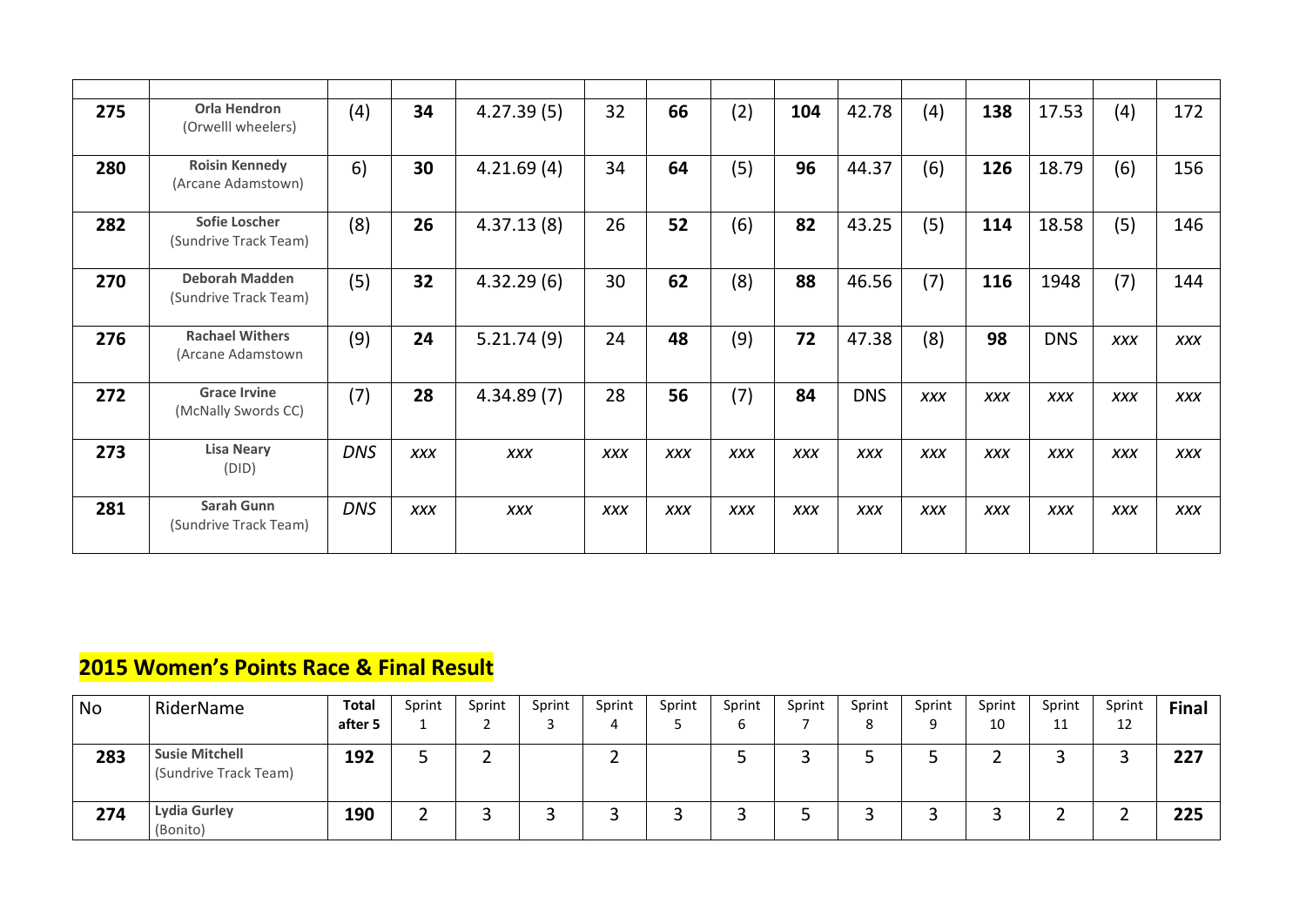| 275 | <b>Orla Hendron</b><br>(Orwelll wheelers)      | (4)        | 34         | 4.27.39(5) | 32         | 66         | (2)        | 104        | 42.78      | (4)        | 138        | 17.53      | (4)        | 172        |
|-----|------------------------------------------------|------------|------------|------------|------------|------------|------------|------------|------------|------------|------------|------------|------------|------------|
| 280 | <b>Roisin Kennedy</b><br>(Arcane Adamstown)    | 6)         | 30         | 4.21.69(4) | 34         | 64         | (5)        | 96         | 44.37      | (6)        | 126        | 18.79      | (6)        | 156        |
| 282 | <b>Sofie Loscher</b><br>(Sundrive Track Team)  | (8)        | 26         | 4.37.13(8) | 26         | 52         | (6)        | 82         | 43.25      | (5)        | 114        | 18.58      | (5)        | 146        |
| 270 | <b>Deborah Madden</b><br>(Sundrive Track Team) | (5)        | 32         | 4.32.29(6) | 30         | 62         | (8)        | 88         | 46.56      | (7)        | 116        | 1948       | (7)        | 144        |
| 276 | <b>Rachael Withers</b><br>(Arcane Adamstown    | (9)        | 24         | 5.21.74(9) | 24         | 48         | (9)        | 72         | 47.38      | (8)        | 98         | <b>DNS</b> | <b>XXX</b> | <b>XXX</b> |
| 272 | <b>Grace Irvine</b><br>(McNally Swords CC)     | (7)        | 28         | 4.34.89(7) | 28         | 56         | (7)        | 84         | <b>DNS</b> | <b>XXX</b> | <b>XXX</b> | <b>XXX</b> | <b>XXX</b> | <b>XXX</b> |
| 273 | <b>Lisa Neary</b><br>(DID)                     | <b>DNS</b> | <b>XXX</b> | <b>XXX</b> | <b>XXX</b> | <b>XXX</b> | <b>XXX</b> | <b>XXX</b> | <b>XXX</b> | <b>XXX</b> | <b>XXX</b> | <b>XXX</b> | <b>XXX</b> | <b>XXX</b> |
| 281 | <b>Sarah Gunn</b><br>(Sundrive Track Team)     | <b>DNS</b> | <b>XXX</b> | <b>XXX</b> | <b>XXX</b> | <b>XXX</b> | <b>XXX</b> | <b>XXX</b> | <b>XXX</b> | <b>XXX</b> | <b>XXX</b> | <b>XXX</b> | <b>XXX</b> | <b>XXX</b> |

#### **2015 Women's Points Race & Final Result**

| <b>No</b> | RiderName                                      | <b>Total</b> | Sprint | Sprint | Sprint | Sprint | Sprint | Sprint | Sprint | Sprint | Sprint | Sprint | Sprint   | Sprint       | <b>Final</b> |
|-----------|------------------------------------------------|--------------|--------|--------|--------|--------|--------|--------|--------|--------|--------|--------|----------|--------------|--------------|
|           |                                                | after 5      |        |        |        | д.     |        | b      |        |        | Q      | 10     | 11       | $\sim$<br>ᅩᄼ |              |
| 283       | <b>Susie Mitchell</b><br>(Sundrive Track Team) | 192          |        |        |        |        |        |        |        |        |        |        | ∽<br>ے   |              | 227          |
| 274       | <b>Lydia Gurley</b><br>(Bonito)                | 190          |        |        |        |        |        |        |        |        |        |        | <u>_</u> |              | 225          |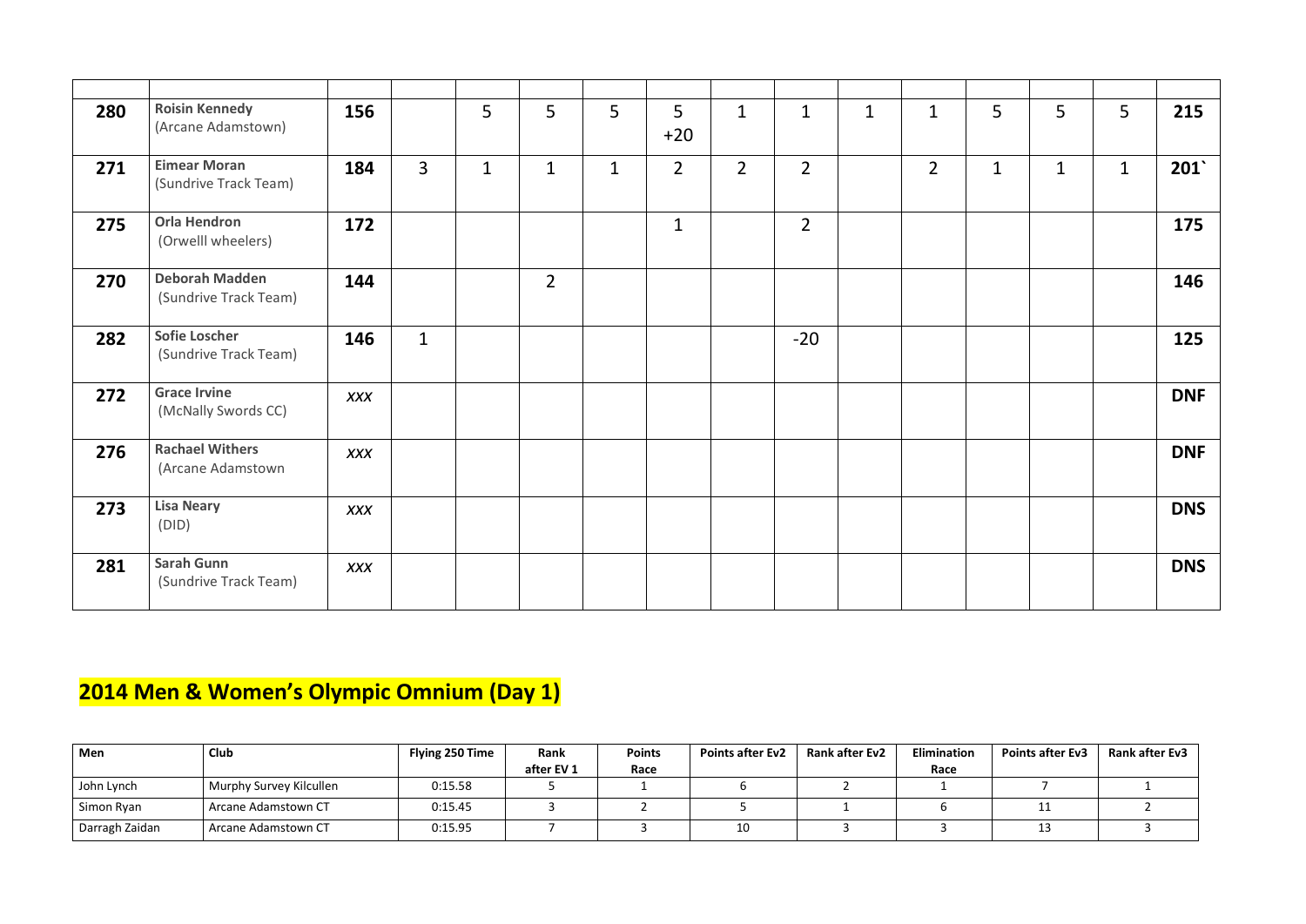| 280 | <b>Roisin Kennedy</b><br>(Arcane Adamstown)    | 156        |                | 5            | 5              | 5           | 5<br>$+20$     | $\mathbf{1}$    | $\mathbf 1$    | $\mathbf 1$ | $\mathbf{1}$   | 5            | 5            | 5            | 215        |
|-----|------------------------------------------------|------------|----------------|--------------|----------------|-------------|----------------|-----------------|----------------|-------------|----------------|--------------|--------------|--------------|------------|
| 271 | <b>Eimear Moran</b><br>(Sundrive Track Team)   | 184        | $\overline{3}$ | $\mathbf{1}$ | $\mathbf{1}$   | $\mathbf 1$ | $\overline{2}$ | $2\overline{ }$ | $\overline{2}$ |             | $\overline{2}$ | $\mathbf{1}$ | $\mathbf{1}$ | $\mathbf{1}$ | 201        |
| 275 | <b>Orla Hendron</b><br>(Orwelll wheelers)      | 172        |                |              |                |             | $\mathbf{1}$   |                 | $\overline{2}$ |             |                |              |              |              | 175        |
| 270 | <b>Deborah Madden</b><br>(Sundrive Track Team) | 144        |                |              | $\overline{2}$ |             |                |                 |                |             |                |              |              |              | 146        |
| 282 | <b>Sofie Loscher</b><br>(Sundrive Track Team)  | 146        | $\mathbf{1}$   |              |                |             |                |                 | $-20$          |             |                |              |              |              | 125        |
| 272 | <b>Grace Irvine</b><br>(McNally Swords CC)     | <b>XXX</b> |                |              |                |             |                |                 |                |             |                |              |              |              | <b>DNF</b> |
| 276 | <b>Rachael Withers</b><br>(Arcane Adamstown    | <b>XXX</b> |                |              |                |             |                |                 |                |             |                |              |              |              | <b>DNF</b> |
| 273 | <b>Lisa Neary</b><br>(DID)                     | <b>XXX</b> |                |              |                |             |                |                 |                |             |                |              |              |              | <b>DNS</b> |
| 281 | <b>Sarah Gunn</b><br>(Sundrive Track Team)     | <b>XXX</b> |                |              |                |             |                |                 |                |             |                |              |              |              | <b>DNS</b> |

## **2014 Men & Women's Olympic Omnium (Day 1)**

| Men            | <b>Club</b>             | Flying 250 Time | Rank       | <b>Points</b> | <b>Points after Ev2</b> | <b>Rank after Ev2</b> | <b>Elimination</b> | <b>Points after Ev3</b> | <b>Rank after Ev3</b> |
|----------------|-------------------------|-----------------|------------|---------------|-------------------------|-----------------------|--------------------|-------------------------|-----------------------|
|                |                         |                 | after EV 1 | Race          |                         |                       | Race               |                         |                       |
| John Lynch     | Murphy Survey Kilcullen | 0:15.58         |            |               |                         |                       |                    |                         |                       |
| Simon Ryan     | Arcane Adamstown CT     | 0:15.45         |            |               |                         |                       |                    |                         |                       |
| Darragh Zaidan | Arcane Adamstown CT     | 0:15.95         |            |               | 10                      |                       |                    |                         |                       |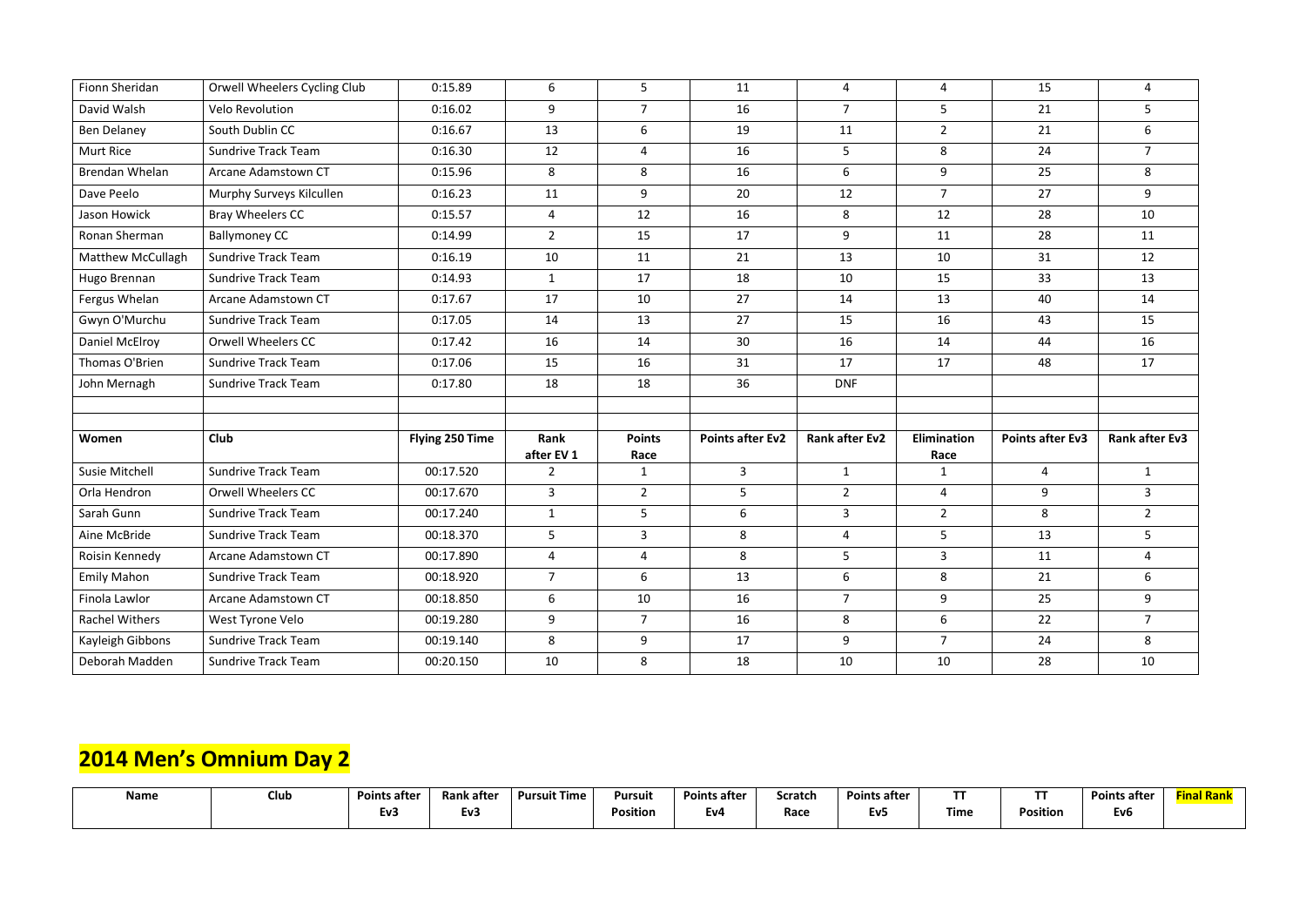| Fionn Sheridan           | Orwell Wheelers Cycling Club | 0:15.89         | 6              | 5 <sup>5</sup> | 11                      | 4                     | 4              | 15                      | 4                     |
|--------------------------|------------------------------|-----------------|----------------|----------------|-------------------------|-----------------------|----------------|-------------------------|-----------------------|
| David Walsh              | <b>Velo Revolution</b>       | 0:16.02         | 9              | $\overline{7}$ | 16                      | $\overline{7}$        | 5              | 21                      | 5                     |
| <b>Ben Delaney</b>       | South Dublin CC              | 0:16.67         | 13             | 6              | 19                      | 11                    | $\overline{2}$ | 21                      | 6                     |
| Murt Rice                | <b>Sundrive Track Team</b>   | 0:16.30         | 12             | $\overline{4}$ | 16                      | 5                     | 8              | 24                      | $\overline{7}$        |
| Brendan Whelan           | Arcane Adamstown CT          | 0:15.96         | 8              | 8              | 16                      | 6                     | 9              | 25                      | 8                     |
| Dave Peelo               | Murphy Surveys Kilcullen     | 0:16.23         | 11             | 9              | 20                      | 12                    | $\overline{7}$ | 27                      | 9                     |
| Jason Howick             | Bray Wheelers CC             | 0:15.57         | $\overline{4}$ | 12             | 16                      | 8                     | 12             | 28                      | 10                    |
| Ronan Sherman            | <b>Ballymoney CC</b>         | 0:14.99         | $2^{\circ}$    | 15             | 17                      | 9                     | 11             | 28                      | 11                    |
| <b>Matthew McCullagh</b> | <b>Sundrive Track Team</b>   | 0:16.19         | 10             | 11             | 21                      | 13                    | 10             | 31                      | 12                    |
| Hugo Brennan             | <b>Sundrive Track Team</b>   | 0:14.93         | $\mathbf{1}$   | 17             | 18                      | 10                    | 15             | 33                      | 13                    |
| Fergus Whelan            | Arcane Adamstown CT          | 0:17.67         | 17             | 10             | 27                      | 14                    | 13             | 40                      | 14                    |
| Gwyn O'Murchu            | <b>Sundrive Track Team</b>   | 0:17.05         | 14             | 13             | 27                      | 15                    | 16             | 43                      | 15                    |
| Daniel McElroy           | <b>Orwell Wheelers CC</b>    | 0:17.42         | 16             | 14             | 30                      | 16                    | 14             | 44                      | 16                    |
| Thomas O'Brien           | <b>Sundrive Track Team</b>   | 0:17.06         | 15             | 16             | 31                      | 17                    | 17             | 48                      | 17                    |
| John Mernagh             | <b>Sundrive Track Team</b>   | 0:17.80         | 18             | 18             | 36                      | <b>DNF</b>            |                |                         |                       |
|                          |                              |                 |                |                |                         |                       |                |                         |                       |
| Women                    | <b>Club</b>                  | Flying 250 Time | Rank           | <b>Points</b>  | <b>Points after Ev2</b> | <b>Rank after Ev2</b> | Elimination    | <b>Points after Ev3</b> | <b>Rank after Ev3</b> |
|                          |                              |                 | after EV 1     | Race           |                         |                       | Race           |                         |                       |
| Susie Mitchell           | <b>Sundrive Track Team</b>   | 00:17.520       | $\overline{2}$ | $\mathbf{1}$   | $\mathbf{3}$            | $\mathbf{1}$          | $\mathbf{1}$   | 4                       | $\mathbf{1}$          |
| Orla Hendron             | <b>Orwell Wheelers CC</b>    | 00:17.670       | $\overline{3}$ | $\overline{2}$ | 5                       | $2^{\circ}$           | 4              | 9                       | 3                     |
| Sarah Gunn               | <b>Sundrive Track Team</b>   | 00:17.240       | $\mathbf{1}$   | 5              | 6                       | $\overline{3}$        | $2^{\circ}$    | 8                       | $\overline{2}$        |
| Aine McBride             | <b>Sundrive Track Team</b>   | 00:18.370       | 5 <sup>5</sup> | $\mathbf{3}$   | 8                       | 4                     | 5              | 13                      | 5                     |
| Roisin Kennedy           | Arcane Adamstown CT          | 00:17.890       | 4              | 4              | 8                       | 5                     | $\mathbf{3}$   | 11                      | 4                     |
| <b>Emily Mahon</b>       | Sundrive Track Team          | 00:18.920       | 7              | 6              | 13                      | 6                     | 8              | 21                      | 6                     |
| Finola Lawlor            | Arcane Adamstown CT          | 00:18.850       | 6              | 10             | 16                      | $\overline{7}$        | 9              | 25                      | 9                     |
| Rachel Withers           | West Tyrone Velo             | 00:19.280       | 9              | 7 <sup>1</sup> | 16                      | 8                     | 6              | 22                      | $\overline{7}$        |
| Kayleigh Gibbons         | <b>Sundrive Track Team</b>   | 00:19.140       | 8              | 9              | 17                      | 9                     | $\overline{7}$ | 24                      | 8                     |
| Deborah Madden           | <b>Sundrive Track Team</b>   | 00:20.150       | 10             | 8              | 18                      | 10                    | 10             | 28                      | 10                    |

### **2014 Men's Omnium Day 2**

| <b>Name</b> | Club | <b>Points after</b> | <b>Rank after</b> | <b>Pursuit Time</b> | Pursuit  | <b>Points after</b> | <b>Scratch</b> | <b>Points after</b> | --          | ---      | <b>Points after</b> | Rank<br>ina |
|-------------|------|---------------------|-------------------|---------------------|----------|---------------------|----------------|---------------------|-------------|----------|---------------------|-------------|
|             |      | v3:                 | Ev3               |                     | Position | EV4                 | Race           | <b>EV5</b>          | <b>Time</b> | Position | cvb                 |             |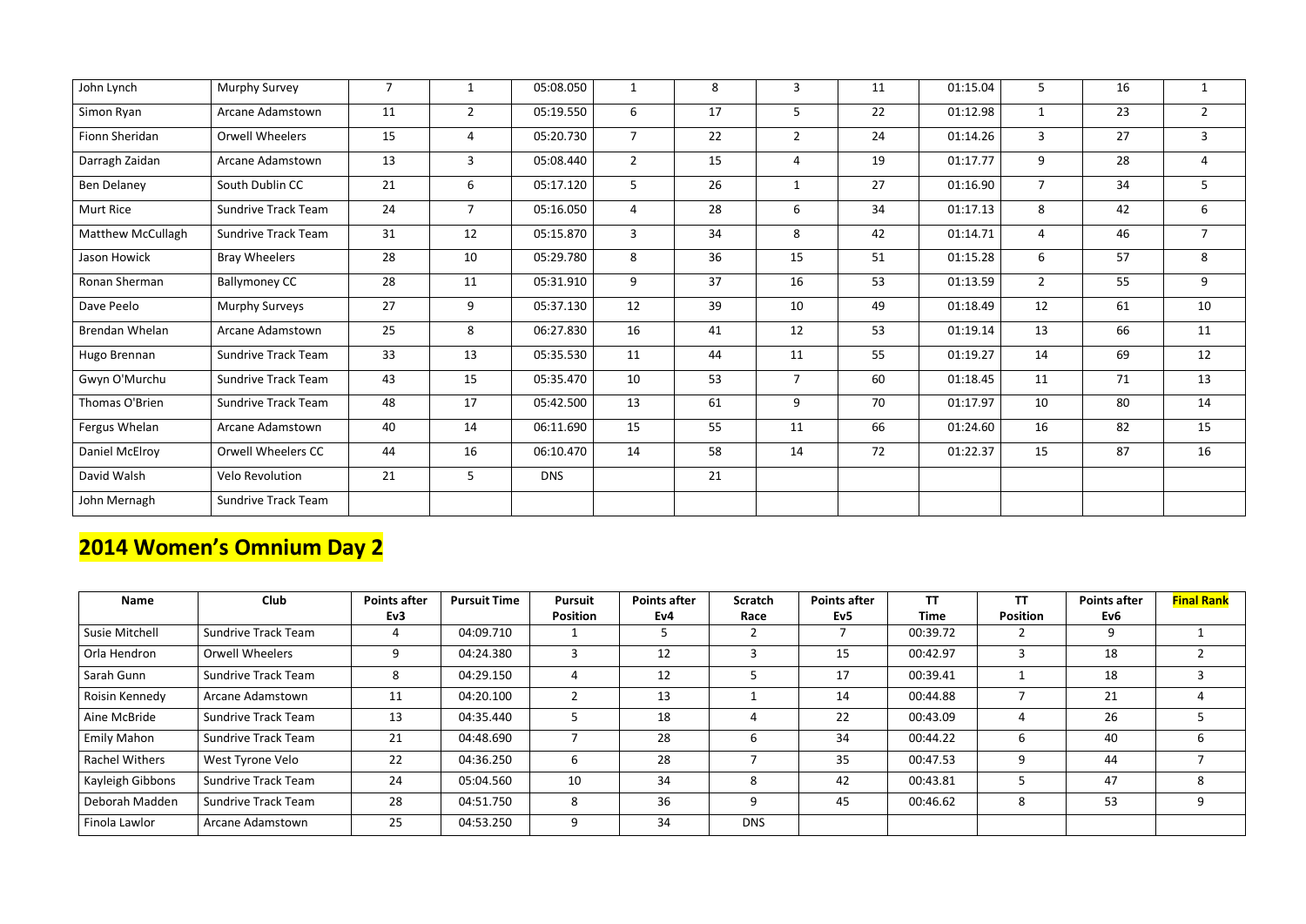| John Lynch        | Murphy Survey              | $\overline{7}$ | $\mathbf{1}$   | 05:08.050  | $\mathbf{1}$   | 8  | 3              | 11 | 01:15.04 | 5 <sup>5</sup> | 16 | $\mathbf{1}$   |
|-------------------|----------------------------|----------------|----------------|------------|----------------|----|----------------|----|----------|----------------|----|----------------|
| Simon Ryan        | Arcane Adamstown           | 11             | $\overline{2}$ | 05:19.550  | 6              | 17 | $5\phantom{.}$ | 22 | 01:12.98 | $\mathbf{1}$   | 23 | $2^{\circ}$    |
| Fionn Sheridan    | <b>Orwell Wheelers</b>     | 15             | $\overline{4}$ | 05:20.730  | $\overline{7}$ | 22 | $\overline{2}$ | 24 | 01:14.26 | $\overline{3}$ | 27 | $\mathbf{3}$   |
| Darragh Zaidan    | Arcane Adamstown           | 13             | $\overline{3}$ | 05:08.440  | $\overline{2}$ | 15 | $\overline{4}$ | 19 | 01:17.77 | 9              | 28 | $\overline{4}$ |
| Ben Delaney       | South Dublin CC            | 21             | 6              | 05:17.120  | 5              | 26 | $\mathbf{1}$   | 27 | 01:16.90 | $\overline{7}$ | 34 | 5              |
| <b>Murt Rice</b>  | Sundrive Track Team        | 24             | $\overline{7}$ | 05:16.050  | $\overline{4}$ | 28 | 6              | 34 | 01:17.13 | 8              | 42 | 6              |
| Matthew McCullagh | <b>Sundrive Track Team</b> | 31             | 12             | 05:15.870  | $\mathbf{3}$   | 34 | 8              | 42 | 01:14.71 | 4              | 46 | $\overline{7}$ |
| Jason Howick      | <b>Bray Wheelers</b>       | 28             | 10             | 05:29.780  | 8              | 36 | 15             | 51 | 01:15.28 | 6              | 57 | 8              |
| Ronan Sherman     | <b>Ballymoney CC</b>       | 28             | 11             | 05:31.910  | 9              | 37 | 16             | 53 | 01:13.59 | $2^{\circ}$    | 55 | 9              |
| Dave Peelo        | <b>Murphy Surveys</b>      | 27             | 9              | 05:37.130  | 12             | 39 | 10             | 49 | 01:18.49 | 12             | 61 | 10             |
| Brendan Whelan    | Arcane Adamstown           | 25             | 8              | 06:27.830  | 16             | 41 | 12             | 53 | 01:19.14 | 13             | 66 | 11             |
| Hugo Brennan      | <b>Sundrive Track Team</b> | 33             | 13             | 05:35.530  | 11             | 44 | 11             | 55 | 01:19.27 | 14             | 69 | 12             |
| Gwyn O'Murchu     | <b>Sundrive Track Team</b> | 43             | 15             | 05:35.470  | 10             | 53 | $\overline{7}$ | 60 | 01:18.45 | 11             | 71 | 13             |
| Thomas O'Brien    | Sundrive Track Team        | 48             | 17             | 05:42.500  | 13             | 61 | 9              | 70 | 01:17.97 | 10             | 80 | 14             |
| Fergus Whelan     | Arcane Adamstown           | 40             | 14             | 06:11.690  | 15             | 55 | 11             | 66 | 01:24.60 | 16             | 82 | 15             |
| Daniel McElroy    | Orwell Wheelers CC         | 44             | 16             | 06:10.470  | 14             | 58 | 14             | 72 | 01:22.37 | 15             | 87 | 16             |
| David Walsh       | <b>Velo Revolution</b>     | 21             | 5 <sup>1</sup> | <b>DNS</b> |                | 21 |                |    |          |                |    |                |
| John Mernagh      | <b>Sundrive Track Team</b> |                |                |            |                |    |                |    |          |                |    |                |

### **2014 Women's Omnium Day 2**

| <b>Name</b>           | <b>Club</b>                | <b>Points after</b> | <b>Pursuit Time</b> | <b>Pursuit</b>  | <b>Points after</b> | <b>Scratch</b> | <b>Points after</b> | <b>TT</b>   | <b>TT</b>       | <b>Points after</b> | <b>Final Rank</b> |
|-----------------------|----------------------------|---------------------|---------------------|-----------------|---------------------|----------------|---------------------|-------------|-----------------|---------------------|-------------------|
|                       |                            | Ev3                 |                     | <b>Position</b> | Ev4                 | Race           | Ev5                 | <b>Time</b> | <b>Position</b> | Ev <sub>6</sub>     |                   |
| <b>Susie Mitchell</b> | Sundrive Track Team        | 4                   | 04:09.710           |                 |                     |                |                     | 00:39.72    |                 | 9                   |                   |
| Orla Hendron          | <b>Orwell Wheelers</b>     | 9                   | 04:24.380           |                 | 12                  | 3              | 15                  | 00:42.97    | 3               | 18                  |                   |
| Sarah Gunn            | <b>Sundrive Track Team</b> | 8                   | 04:29.150           | 4               | 12                  | ∍              | 17                  | 00:39.41    |                 | 18                  |                   |
| Roisin Kennedy        | Arcane Adamstown           | 11                  | 04:20.100           |                 | 13                  |                | 14                  | 00:44.88    |                 | 21                  |                   |
| Aine McBride          | Sundrive Track Team        | 13                  | 04:35.440           |                 | 18                  | 4              | 22                  | 00:43.09    |                 | 26                  |                   |
| <b>Emily Mahon</b>    | <b>Sundrive Track Team</b> | 21                  | 04:48.690           |                 | 28                  | b              | 34                  | 00:44.22    | 6               | 40                  | b                 |
| <b>Rachel Withers</b> | West Tyrone Velo           | 22                  | 04:36.250           | b               | 28                  |                | 35                  | 00:47.53    | 9               | 44                  |                   |
| Kayleigh Gibbons      | Sundrive Track Team        | 24                  | 05:04.560           | 10              | 34                  | 8              | 42                  | 00:43.81    |                 | 47                  |                   |
| Deborah Madden        | Sundrive Track Team        | 28                  | 04:51.750           | 8               | 36                  | 9              | 45                  | 00:46.62    | 8               | 53                  | 9                 |
| Finola Lawlor         | Arcane Adamstown           | 25                  | 04:53.250           | 9               | 34                  | <b>DNS</b>     |                     |             |                 |                     |                   |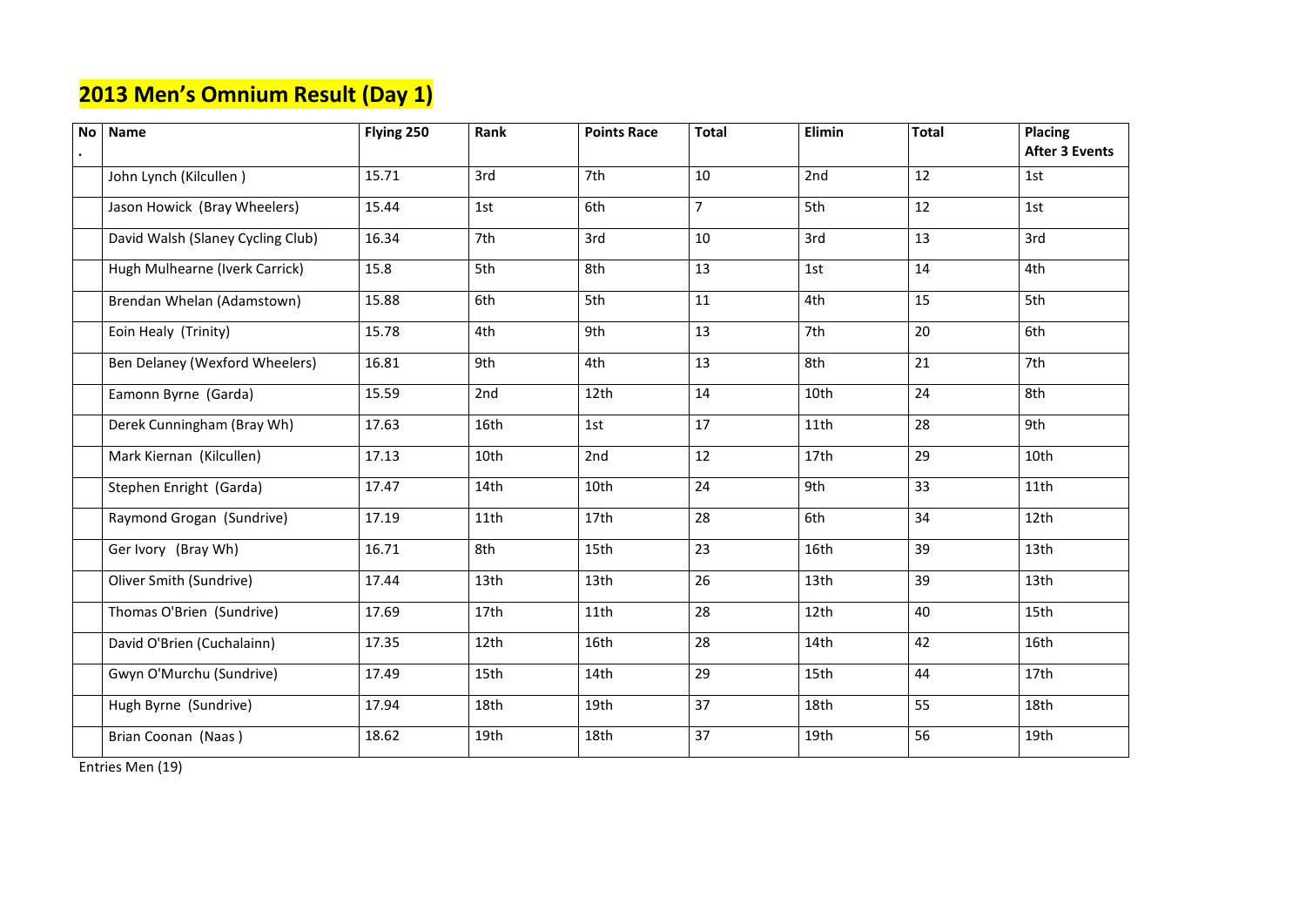### **2013 Men's Omnium Result (Day 1)**

| <b>Placing</b>        |
|-----------------------|
| <b>After 3 Events</b> |
| 1st                   |
| 1st                   |
| 3rd                   |
| 4th                   |
| 5th                   |
| 6th                   |
| 7th                   |
| 8th                   |
| 9th                   |
| 10th                  |
| 11th                  |
| 12th                  |
| 13th                  |
| 13th                  |
| 15 <sub>th</sub>      |
| 16th                  |
| 17th                  |
| 18th                  |
| 19th                  |

| <b>No</b> | <b>Name</b>                       | Flying 250 | Rank | <b>Points Race</b> | <b>Total</b>   | Elimin | Total | Placing<br>After 3 |
|-----------|-----------------------------------|------------|------|--------------------|----------------|--------|-------|--------------------|
|           | John Lynch (Kilcullen)            | 15.71      | 3rd  | 7th                | 10             | 2nd    | 12    | 1st                |
|           | Jason Howick (Bray Wheelers)      | 15.44      | 1st  | 6th                | $\overline{7}$ | 5th    | 12    | 1st                |
|           | David Walsh (Slaney Cycling Club) | 16.34      | 7th  | 3rd                | 10             | 3rd    | 13    | 3rd                |
|           | Hugh Mulhearne (Iverk Carrick)    | 15.8       | 5th  | 8th                | 13             | 1st    | 14    | 4th                |
|           | Brendan Whelan (Adamstown)        | 15.88      | 6th  | 5th                | 11             | 4th    | 15    | 5th                |
|           | Eoin Healy (Trinity)              | 15.78      | 4th  | 9th                | 13             | 7th    | 20    | 6th                |
|           | Ben Delaney (Wexford Wheelers)    | 16.81      | 9th  | 4th                | 13             | 8th    | 21    | 7th                |
|           | Eamonn Byrne (Garda)              | 15.59      | 2nd  | 12th               | 14             | 10th   | 24    | 8th                |
|           | Derek Cunningham (Bray Wh)        | 17.63      | 16th | 1st                | 17             | 11th   | 28    | 9th                |
|           | Mark Kiernan (Kilcullen)          | 17.13      | 10th | 2nd                | 12             | 17th   | 29    | 10th               |
|           | Stephen Enright (Garda)           | 17.47      | 14th | 10th               | 24             | 9th    | 33    | 11th               |
|           | Raymond Grogan (Sundrive)         | 17.19      | 11th | 17th               | 28             | 6th    | 34    | 12 <sub>th</sub>   |
|           | Ger Ivory (Bray Wh)               | 16.71      | 8th  | 15th               | 23             | 16th   | 39    | 13th               |
|           | Oliver Smith (Sundrive)           | 17.44      | 13th | 13th               | 26             | 13th   | 39    | 13 <sub>th</sub>   |
|           | Thomas O'Brien (Sundrive)         | 17.69      | 17th | 11th               | 28             | 12th   | 40    | 15th               |
|           | David O'Brien (Cuchalainn)        | 17.35      | 12th | 16th               | 28             | 14th   | 42    | 16th               |
|           | Gwyn O'Murchu (Sundrive)          | 17.49      | 15th | 14th               | 29             | 15th   | 44    | 17 <sub>th</sub>   |
|           | Hugh Byrne (Sundrive)             | 17.94      | 18th | 19th               | 37             | 18th   | 55    | 18th               |
|           | Brian Coonan (Naas)               | 18.62      | 19th | 18th               | 37             | 19th   | 56    | 19th               |

Entries Men (19)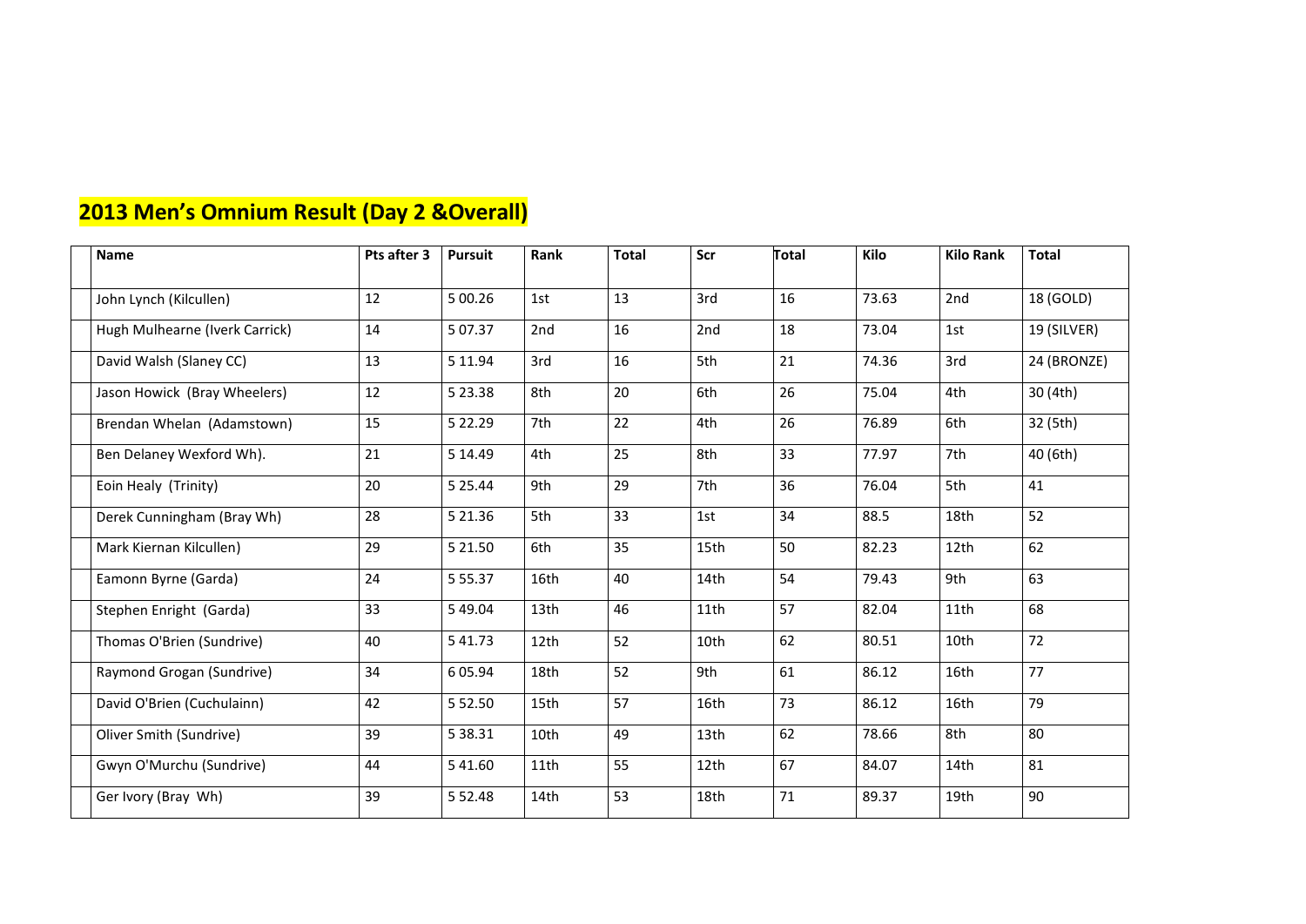### **2013 Men's Omnium Result (Day 2 &Overall)**

| <b>Name</b>                    | Pts after 3 | <b>Pursuit</b> | Rank | <b>Total</b> | Scr  | Total | Kilo  | <b>Kilo Rank</b> | <b>Total</b> |
|--------------------------------|-------------|----------------|------|--------------|------|-------|-------|------------------|--------------|
|                                |             |                |      |              |      |       |       |                  |              |
| John Lynch (Kilcullen)         | 12          | 5 00.26        | 1st  | 13           | 3rd  | 16    | 73.63 | 2nd              | 18 (GOLD)    |
| Hugh Mulhearne (Iverk Carrick) | 14          | 5 07.37        | 2nd  | 16           | 2nd  | 18    | 73.04 | 1st              | 19 (SILVER)  |
| David Walsh (Slaney CC)        | 13          | 5 11.94        | 3rd  | 16           | 5th  | 21    | 74.36 | 3rd              | 24 (BRONZE)  |
| Jason Howick (Bray Wheelers)   | 12          | 5 2 3.38       | 8th  | 20           | 6th  | 26    | 75.04 | 4th              | 30 (4th)     |
| Brendan Whelan (Adamstown)     | 15          | 5 2 2.29       | 7th  | 22           | 4th  | 26    | 76.89 | 6th              | 32 (5th)     |
| Ben Delaney Wexford Wh).       | 21          | 5 14.49        | 4th  | 25           | 8th  | 33    | 77.97 | 7th              | 40 (6th)     |
| Eoin Healy (Trinity)           | 20          | 5 2 5 . 4 4    | 9th  | 29           | 7th  | 36    | 76.04 | 5th              | 41           |
| Derek Cunningham (Bray Wh)     | 28          | 5 2 1.36       | 5th  | 33           | 1st  | 34    | 88.5  | 18th             | 52           |
| Mark Kiernan Kilcullen)        | 29          | 5 21.50        | 6th  | 35           | 15th | 50    | 82.23 | 12th             | 62           |
| Eamonn Byrne (Garda)           | 24          | 5 5 5 . 3 7    | 16th | 40           | 14th | 54    | 79.43 | 9th              | 63           |
| Stephen Enright (Garda)        | 33          | 5 49.04        | 13th | 46           | 11th | 57    | 82.04 | 11th             | 68           |
| Thomas O'Brien (Sundrive)      | 40          | 5 41.73        | 12th | 52           | 10th | 62    | 80.51 | 10th             | 72           |
| Raymond Grogan (Sundrive)      | 34          | 605.94         | 18th | 52           | 9th  | 61    | 86.12 | 16th             | 77           |
| David O'Brien (Cuchulainn)     | 42          | 5 5 2.50       | 15th | 57           | 16th | 73    | 86.12 | 16th             | 79           |
| Oliver Smith (Sundrive)        | 39          | 5 38.31        | 10th | 49           | 13th | 62    | 78.66 | 8th              | 80           |
| Gwyn O'Murchu (Sundrive)       | 44          | 5 41.60        | 11th | 55           | 12th | 67    | 84.07 | 14th             | 81           |
| Ger Ivory (Bray Wh)            | 39          | 5 5 2.48       | 14th | 53           | 18th | 71    | 89.37 | 19th             | 90           |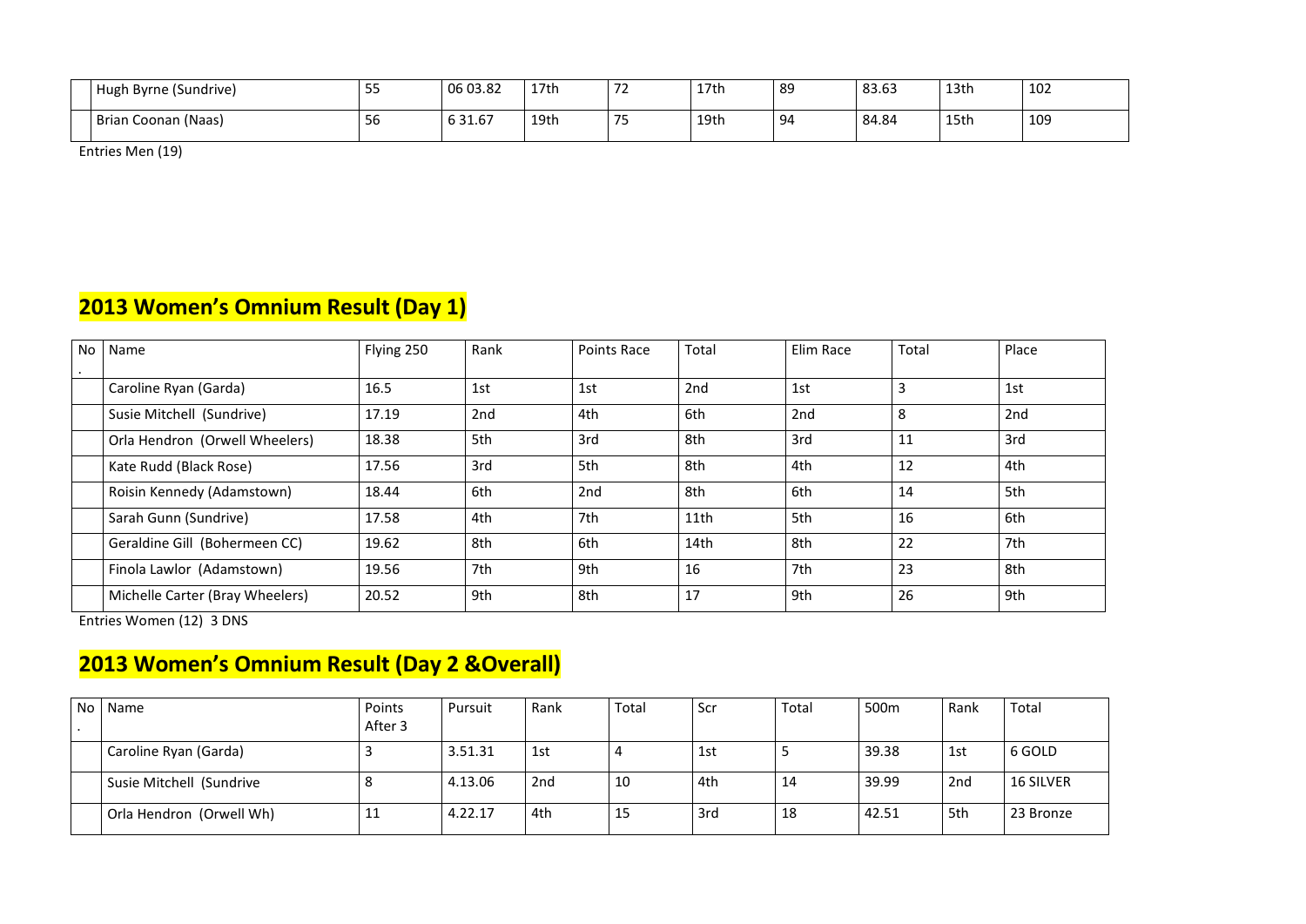| $\overline{\phantom{a}}$<br>Hugh Byrne (Sundrive) | - - -        | 06 03.82                   | 17th | $\overline{\phantom{a}}$<br>. . | 17th | 89 | 83.63 | 13th | 102             |
|---------------------------------------------------|--------------|----------------------------|------|---------------------------------|------|----|-------|------|-----------------|
| Brian Coonan (Naas)                               | $\sim$<br>υU | $\sim$ 24 $\sim$ 7<br>31.b | 19th | フロ                              | 19th | 94 | 84.84 | 15th | 10 <sub>S</sub> |

Entries Men (19)

### **2013 Women's Omnium Result (Day 1)**

| No | Name                            | Flying 250 | Rank | <b>Points Race</b> | Total | Elim Race | Total | Place |
|----|---------------------------------|------------|------|--------------------|-------|-----------|-------|-------|
|    |                                 |            |      |                    |       |           |       |       |
|    | Caroline Ryan (Garda)           | 16.5       | 1st  | 1st                | 2nd   | 1st       | 3     | 1st   |
|    | Susie Mitchell (Sundrive)       | 17.19      | 2nd  | 4th                | 6th   | 2nd       | 8     | 2nd   |
|    | Orla Hendron (Orwell Wheelers)  | 18.38      | 5th  | 3rd                | 8th   | 3rd       | 11    | 3rd   |
|    | Kate Rudd (Black Rose)          | 17.56      | 3rd  | 5th                | 8th   | 4th       | 12    | 4th   |
|    | Roisin Kennedy (Adamstown)      | 18.44      | 6th  | 2nd                | 8th   | 6th       | 14    | 5th   |
|    | Sarah Gunn (Sundrive)           | 17.58      | 4th  | 7th                | 11th  | 5th       | 16    | 6th   |
|    | Geraldine Gill (Bohermeen CC)   | 19.62      | 8th  | 6th                | 14th  | 8th       | 22    | 7th   |
|    | Finola Lawlor (Adamstown)       | 19.56      | 7th  | 9th                | 16    | 7th       | 23    | 8th   |
|    | Michelle Carter (Bray Wheelers) | 20.52      | 9th  | 8th                | 17    | 9th       | 26    | 9th   |

Entries Women (12) 3 DNS

### **2013 Women's Omnium Result (Day 2 &Overall)**

| <b>No</b> | Name                     | Points<br>After 3 | Pursuit | Rank | <b>Total</b> | Scr | Total | 500m  | Rank | Total            |
|-----------|--------------------------|-------------------|---------|------|--------------|-----|-------|-------|------|------------------|
|           | Caroline Ryan (Garda)    |                   | 3.51.31 | 1st  | 4            | 1st |       | 39.38 | 1st  | 6 GOLD           |
|           | Susie Mitchell (Sundrive |                   | 4.13.06 | 2nd  | 10           | 4th | 14    | 39.99 | 2nd  | <b>16 SILVER</b> |
|           | Orla Hendron (Orwell Wh) | + +               | 4.22.17 | 4th  | 15           | 3rd | 18    | 42.51 | 5th  | 23 Bronze        |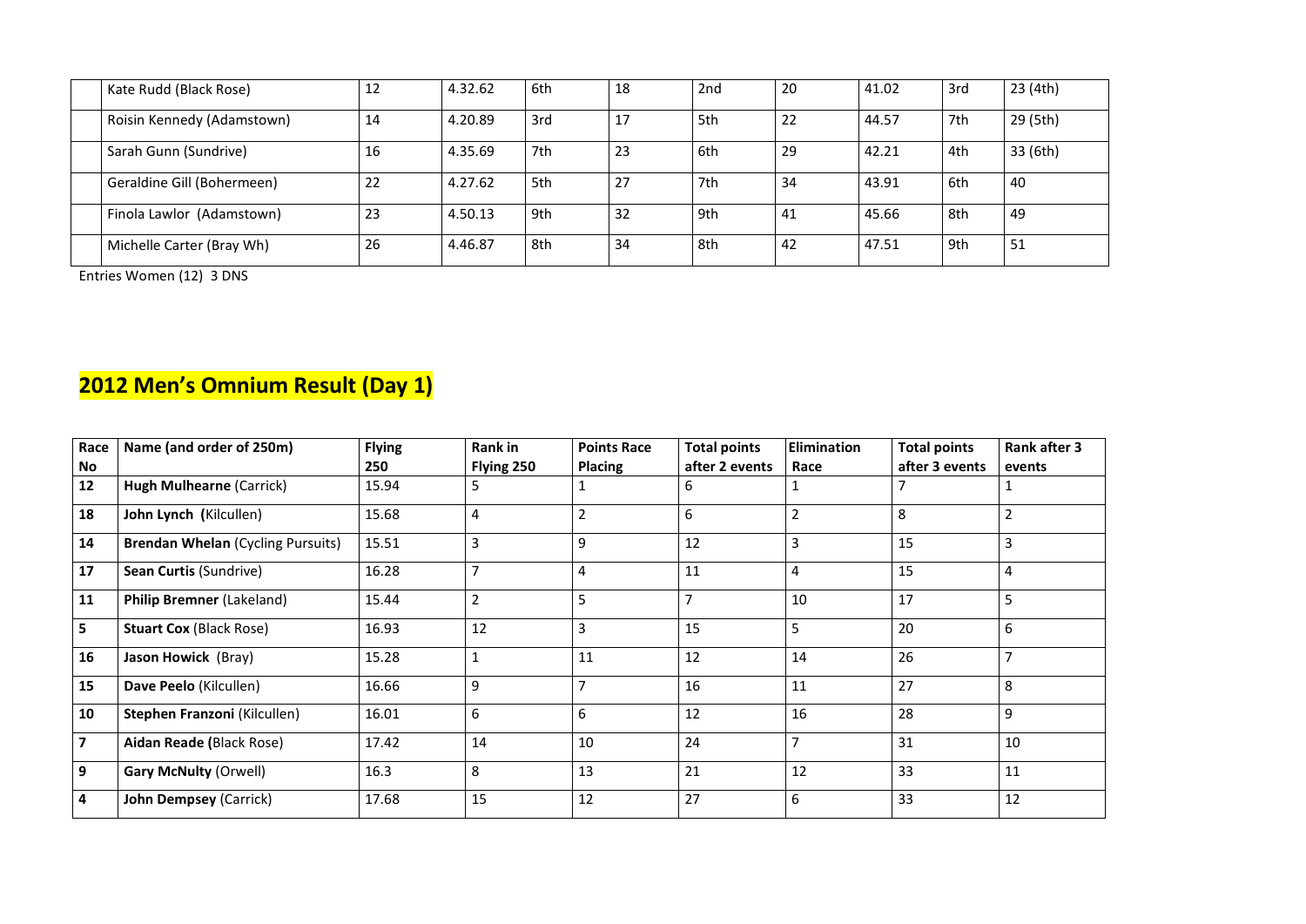| Kate Rudd (Black Rose)     | 12 | 4.32.62 | 6th | 18 | 2nd | 20 | 41.02 | 3rd | 23(4th)  |
|----------------------------|----|---------|-----|----|-----|----|-------|-----|----------|
| Roisin Kennedy (Adamstown) | 14 | 4.20.89 | 3rd | 17 | 5th | 22 | 44.57 | 7th | 29 (5th) |
| Sarah Gunn (Sundrive)      | 16 | 4.35.69 | 7th | 23 | 6th | 29 | 42.21 | 4th | 33 (6th) |
| Geraldine Gill (Bohermeen) | 22 | 4.27.62 | 5th | 27 | 7th | 34 | 43.91 | 6th | 40       |
| Finola Lawlor (Adamstown)  | 23 | 4.50.13 | 9th | 32 | 9th | 41 | 45.66 | 8th | 49       |
| Michelle Carter (Bray Wh)  | 26 | 4.46.87 | 8th | 34 | 8th | 42 | 47.51 | 9th | 51       |

Entries Women (12) 3 DNS

### **2012 Men's Omnium Result (Day 1)**

| Race<br>No              | Name (and order of 250m)                 | <b>Flying</b><br>250 | <b>Rank in</b><br>Flying 250 | <b>Points Race</b><br><b>Placing</b> | <b>Total points</b><br>after 2 events | Elimination<br>Race | <b>Total points</b><br>after 3 events | <b>Rank after 3</b><br>events |  |
|-------------------------|------------------------------------------|----------------------|------------------------------|--------------------------------------|---------------------------------------|---------------------|---------------------------------------|-------------------------------|--|
| 12                      | <b>Hugh Mulhearne (Carrick)</b>          | 15.94                | 5                            | 1                                    | 6                                     | Τ.                  |                                       | $\mathbf{1}$                  |  |
| 18                      | John Lynch (Kilcullen)                   | 15.68                | 4                            | $\overline{2}$                       | 6                                     | $\overline{2}$      | 8                                     | $\overline{2}$                |  |
| 14                      | <b>Brendan Whelan (Cycling Pursuits)</b> | 15.51                | 3                            | 9                                    | 12                                    | 3                   | 15                                    | $\overline{3}$                |  |
| 17                      | <b>Sean Curtis (Sundrive)</b>            | 16.28                | $\overline{7}$               | 4                                    | 11                                    | $\overline{4}$      | 15                                    | 4                             |  |
| 11                      | <b>Philip Bremner (Lakeland)</b>         | 15.44                | $\overline{2}$               | 5                                    | $\overline{7}$                        | 10                  | 17                                    | 5                             |  |
| $5\phantom{1}$          | <b>Stuart Cox (Black Rose)</b>           | 16.93                | 12                           | 3                                    | 15                                    | 5                   | 20                                    | 6                             |  |
| 16                      | <b>Jason Howick (Bray)</b>               | 15.28                |                              | 11                                   | 12                                    | 14                  | 26                                    | $\overline{7}$                |  |
| 15                      | Dave Peelo (Kilcullen)                   | 16.66                | 9                            | $\overline{7}$                       | 16                                    | 11                  | 27                                    | 8                             |  |
| 10                      | Stephen Franzoni (Kilcullen)             | 16.01                | 6                            | 6                                    | 12                                    | 16                  | 28                                    | 9                             |  |
| $\overline{\mathbf{z}}$ | <b>Aidan Reade (Black Rose)</b>          | 17.42                | 14                           | 10                                   | 24                                    | $\overline{7}$      | 31                                    | 10                            |  |
| 9                       | <b>Gary McNulty (Orwell)</b>             | 16.3                 | 8                            | 13                                   | 21                                    | 12                  | 33                                    | 11                            |  |
| $\overline{4}$          | <b>John Dempsey (Carrick)</b>            | 17.68                | 15                           | 12                                   | 27                                    | 6                   | 33                                    | 12                            |  |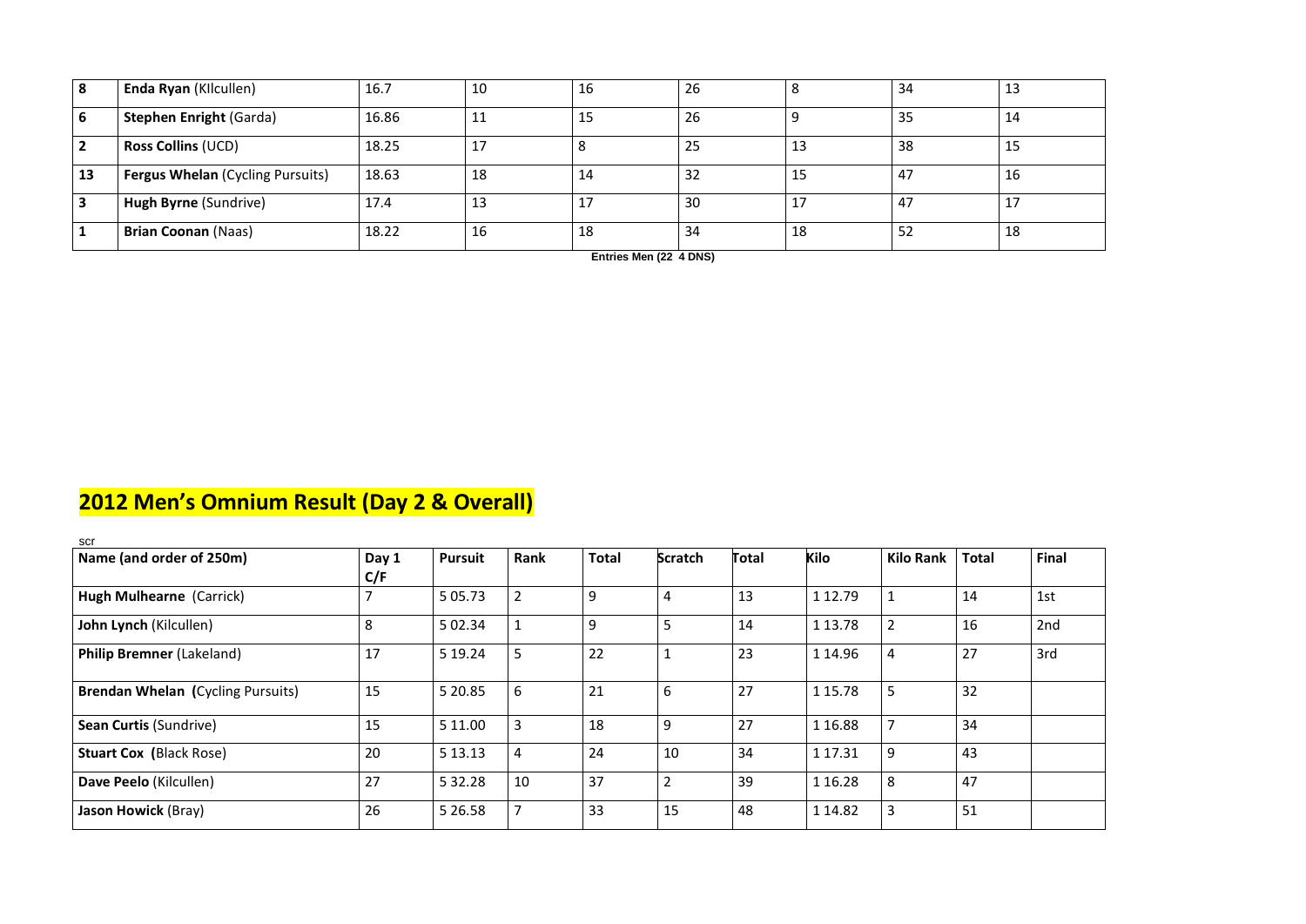| 8                       | Enda Ryan (Kllcullen)                   | 16.7  | 10 | 16      | 26 | 8  | 34  | 13      |
|-------------------------|-----------------------------------------|-------|----|---------|----|----|-----|---------|
| 6                       | <b>Stephen Enright (Garda)</b>          | 16.86 | 11 | 15      | 26 |    | 35  | 14      |
| $\vert$ 2               | <b>Ross Collins (UCD)</b>               | 18.25 | 17 |         | 25 | 13 | 38  | 15      |
| 13                      | <b>Fergus Whelan (Cycling Pursuits)</b> | 18.63 | 18 | 14      | 32 | 15 | 47  | 16      |
| $\overline{\mathbf{3}}$ | Hugh Byrne (Sundrive)                   | 17.4  | 13 | $\perp$ | 30 | 17 | -47 | $\perp$ |
|                         | <b>Brian Coonan (Naas)</b>              | 18.22 | 16 | 18      | 34 | 18 | 52  | 18      |

**Entries Men (22 4 DNS)**

## **2012 Men's Omnium Result (Day 2 & Overall)**

| scr                                      |       |                |                |              |                |       |             |                |              |              |
|------------------------------------------|-------|----------------|----------------|--------------|----------------|-------|-------------|----------------|--------------|--------------|
| Name (and order of 250m)                 | Day 1 | <b>Pursuit</b> | Rank           | <b>Total</b> | <b>Scratch</b> | Total | Kilo        | Kilo Rank      | <b>Total</b> | <b>Final</b> |
|                                          | C/F   |                |                |              |                |       |             |                |              |              |
| <b>Hugh Mulhearne (Carrick)</b>          |       | 5 0 5 . 7 3    | $\overline{2}$ | 9            | 4              | 13    | 1 1 2 . 7 9 |                | 14           | 1st          |
| John Lynch (Kilcullen)                   | 8     | 5 02.34        | $\mathbf{1}$   | 9            | 5              | 14    | 1 13.78     | $\overline{2}$ | 16           | 2nd          |
| <b>Philip Bremner (Lakeland)</b>         | 17    | 5 19.24        | 5              | 22           |                | 23    | 1 14.96     | 4              | 27           | 3rd          |
| <b>Brendan Whelan (Cycling Pursuits)</b> | 15    | 5 20.85        | 6              | 21           | $6\phantom{1}$ | 27    | 1 15.78     | 5              | 32           |              |
| <b>Sean Curtis (Sundrive)</b>            | 15    | 5 11.00        | $\overline{3}$ | 18           | 9              | 27    | 1 1 6.88    | $\overline{7}$ | 34           |              |
| <b>Stuart Cox (Black Rose)</b>           | 20    | 5 13.13        | $\overline{4}$ | 24           | 10             | 34    | 1 17.31     | 9              | 43           |              |
| Dave Peelo (Kilcullen)                   | 27    | 5 3 2.2 8      | 10             | 37           | $\overline{2}$ | 39    | 1 1 6 . 2 8 | 8              | 47           |              |
| <b>Jason Howick (Bray)</b>               | 26    | 5 2 6 . 5 8    | $\overline{7}$ | 33           | 15             | 48    | 1 14.82     | 3              | 51           |              |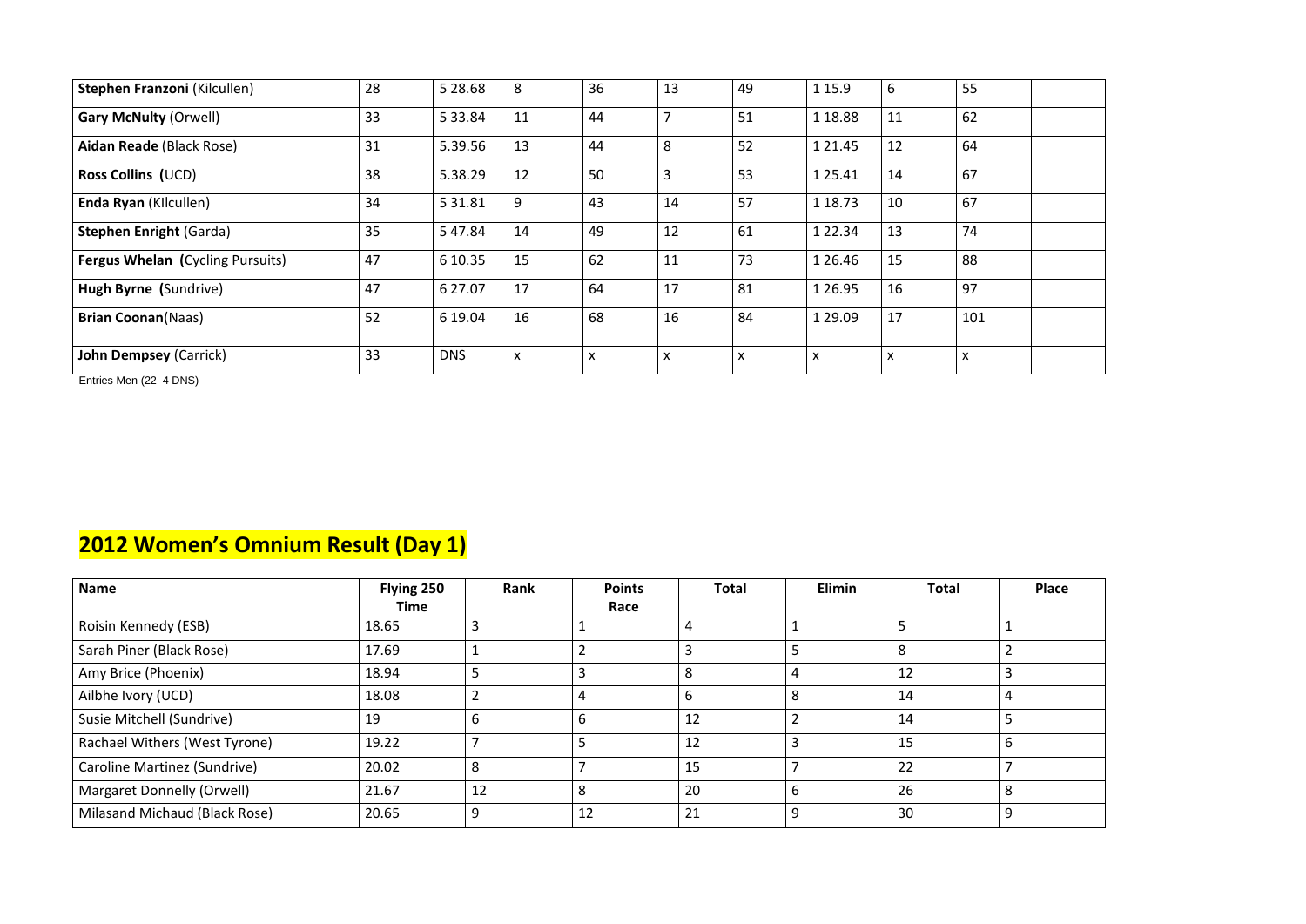| Stephen Franzoni (Kilcullen)            | 28 | 5 28.68     | 8                         | 36                        | 13                        | 49                        | 1 1 5.9                   | 6                         | 55                        |
|-----------------------------------------|----|-------------|---------------------------|---------------------------|---------------------------|---------------------------|---------------------------|---------------------------|---------------------------|
| <b>Gary McNulty (Orwell)</b>            | 33 | 5 3 3 . 8 4 | 11                        | 44                        |                           | 51                        | 1 18.88                   | 11                        | 62                        |
| Aidan Reade (Black Rose)                | 31 | 5.39.56     | 13                        | 44                        | 8                         | 52                        | 1 2 1 . 4 5               | 12                        | 64                        |
| <b>Ross Collins (UCD)</b>               | 38 | 5.38.29     | 12                        | 50                        | 3                         | 53                        | 1 2 5 . 4 1               | 14                        | 67                        |
| <b>Enda Ryan (Kilcullen)</b>            | 34 | 5 3 1.8 1   | 9                         | 43                        | 14                        | 57                        | 1 18.73                   | 10                        | 67                        |
| <b>Stephen Enright (Garda)</b>          | 35 | 547.84      | 14                        | 49                        | 12                        | 61                        | 1 2 2 . 3 4               | 13                        | 74                        |
| <b>Fergus Whelan (Cycling Pursuits)</b> | 47 | 6 10.35     | 15                        | 62                        | 11                        | 73                        | 1 2 6 4 6                 | 15                        | 88                        |
| Hugh Byrne (Sundrive)                   | 47 | 6 27.07     | 17                        | 64                        | 17                        | 81                        | 1 2 6 . 9 5               | 16                        | 97                        |
| <b>Brian Coonan(Naas)</b>               | 52 | 6 19.04     | 16                        | 68                        | 16                        | 84                        | 1 2 9 . 0 9               | 17                        | 101                       |
| <b>John Dempsey (Carrick)</b>           | 33 | <b>DNS</b>  | $\boldsymbol{\mathsf{X}}$ | $\boldsymbol{\mathsf{x}}$ | $\boldsymbol{\mathsf{X}}$ | $\boldsymbol{\mathsf{X}}$ | $\boldsymbol{\mathsf{x}}$ | $\boldsymbol{\mathsf{X}}$ | $\boldsymbol{\mathsf{x}}$ |

Entries Men (22 4 DNS)

### **2012 Women's Omnium Result (Day 1)**

| <b>Name</b>                   | Flying 250  | Rank | <b>Points</b>  | <b>Total</b> | <b>Elimin</b> | <b>Total</b> | Place |
|-------------------------------|-------------|------|----------------|--------------|---------------|--------------|-------|
|                               | <b>Time</b> |      | Race           |              |               |              |       |
| Roisin Kennedy (ESB)          | 18.65       | 3    |                | 4            |               |              |       |
| Sarah Piner (Black Rose)      | 17.69       |      |                | 3            | ∍             | 8            |       |
| Amy Brice (Phoenix)           | 18.94       | כ    | 3              | 8            | 4             | 12           |       |
| Ailbhe Ivory (UCD)            | 18.08       |      | $\overline{4}$ | 6            | 8             | 14           | 4     |
| Susie Mitchell (Sundrive)     | 19          | 6    | 6              | 12           |               | 14           |       |
| Rachael Withers (West Tyrone) | 19.22       |      | 5              | 12           | 3             | 15           | D     |
| Caroline Martinez (Sundrive)  | 20.02       | 8    |                | 15           |               | 22           |       |
| Margaret Donnelly (Orwell)    | 21.67       | 12   | 8              | 20           | 6             | 26           | 8     |
| Milasand Michaud (Black Rose) | 20.65       | 9    | 12             | 21           | 9             | 30           | 9     |

|                         | <b>Place</b> |
|-------------------------|--------------|
| $\mathbf 1$             |              |
| $\overline{2}$          |              |
| $\overline{3}$          |              |
| $\overline{\mathbf{r}}$ |              |
| $\overline{5}$          |              |
| $\overline{6}$          |              |
| $\overline{7}$          |              |
| 8                       |              |
| $\overline{9}$          |              |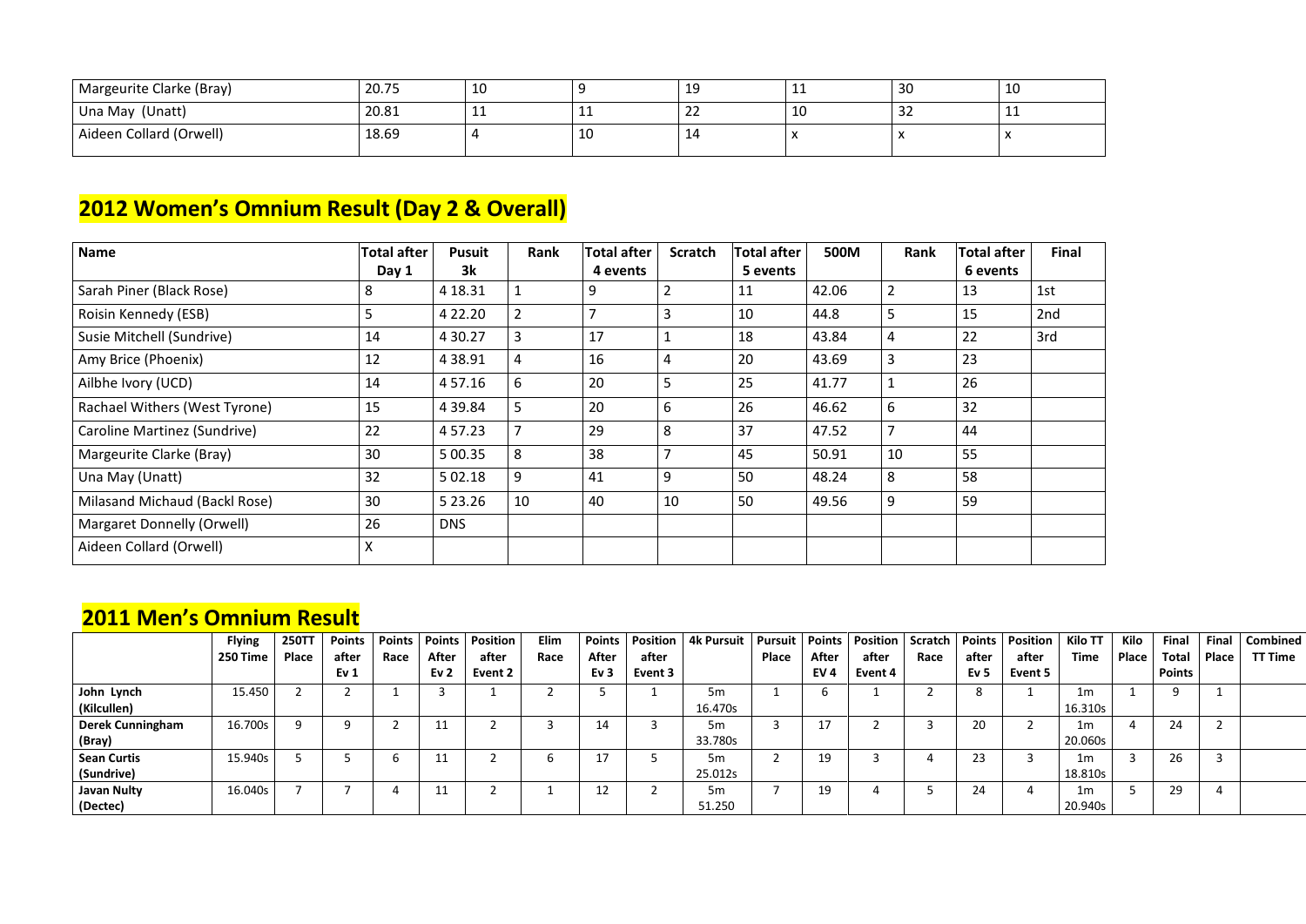| Margeurite Clarke (Bray) | 20.75 | τn |    | --                  | ᆂᆂ           | 30 | 10  |
|--------------------------|-------|----|----|---------------------|--------------|----|-----|
| Una May (Unatt)          | 20.81 | -- | ᆠᆂ | $\sim$<br><u>__</u> | 10           | ےر | --- |
| Aideen Collard (Orwell)  | 18.69 |    | 10 | <u>. на т</u>       | $\mathbf{v}$ |    |     |

### **2012 Women's Omnium Result (Day 2 & Overall)**

| <b>Name</b>                       | <b>Total after</b> | <b>Pusuit</b> | Rank           | Total after | <b>Scratch</b> | <b>Total after</b> | 500M  | Rank           | <b>Total after</b> | <b>Final</b> |
|-----------------------------------|--------------------|---------------|----------------|-------------|----------------|--------------------|-------|----------------|--------------------|--------------|
|                                   | Day 1              | 3k            |                | 4 events    |                | 5 events           |       |                | 6 events           |              |
| Sarah Piner (Black Rose)          | 8                  | 4 18.31       | $\mathbf{1}$   | 9           | 2              | 11                 | 42.06 | $\overline{2}$ | 13                 | 1st          |
| Roisin Kennedy (ESB)              | 5                  | 4 2 2.20      | $\overline{2}$ | ⇁           | 3              | 10                 | 44.8  | 5              | 15                 | 2nd          |
| Susie Mitchell (Sundrive)         | 14                 | 4 3 0.27      | 3              | 17          | 1              | 18                 | 43.84 | $\overline{4}$ | 22                 | 3rd          |
| Amy Brice (Phoenix)               | 12                 | 4 3 8 9 1     | $\overline{4}$ | 16          | 4              | 20                 | 43.69 | 3              | 23                 |              |
| Ailbhe Ivory (UCD)                | 14                 | 4 5 7 . 1 6   | 6              | 20          | 5              | 25                 | 41.77 |                | 26                 |              |
| Rachael Withers (West Tyrone)     | 15                 | 4 3 9 . 8 4   | $5\phantom{.}$ | 20          | 6              | 26                 | 46.62 | 6              | 32                 |              |
| Caroline Martinez (Sundrive)      | 22                 | 4 57.23       | $\overline{7}$ | 29          | 8              | 37                 | 47.52 | 7              | 44                 |              |
| Margeurite Clarke (Bray)          | 30                 | 5 00.35       | 8              | 38          |                | 45                 | 50.91 | 10             | 55                 |              |
| Una May (Unatt)                   | 32                 | 5 02.18       | 9              | 41          | 9              | 50                 | 48.24 | 8              | 58                 |              |
| Milasand Michaud (Backl Rose)     | 30                 | 5 2 3 . 2 6   | 10             | 40          | 10             | 50                 | 49.56 | 9              | 59                 |              |
| <b>Margaret Donnelly (Orwell)</b> | 26                 | <b>DNS</b>    |                |             |                |                    |       |                |                    |              |
| Aideen Collard (Orwell)           | X                  |               |                |             |                |                    |       |                |                    |              |

#### **2011 Men's Omnium Result**

|                    | <b>Flying</b> | <b>250TT</b> | <b>Points</b>   |      | Points   Points | <b>Position</b> | Elim | <b>Points</b>   |         | <b>Position 4k Pursuit</b> | Pursuit      |                 | Points   Position | Scratch | <b>Points</b> | <b>Position</b> | Kilo TT        | Kilo         | <b>Final</b>  | <b>Final</b> | <b>Combined</b> |
|--------------------|---------------|--------------|-----------------|------|-----------------|-----------------|------|-----------------|---------|----------------------------|--------------|-----------------|-------------------|---------|---------------|-----------------|----------------|--------------|---------------|--------------|-----------------|
|                    | 250 Time      | <b>Place</b> | after           | Race | After           | after           | Race | After           | after   |                            | <b>Place</b> | After           | after             | Race    | after         | after           | <b>Time</b>    | <b>Place</b> | <b>Total</b>  | Place        | <b>TT Time</b>  |
|                    |               |              | Ev <sub>1</sub> |      | Ev <sub>2</sub> | Event 2         |      | Ev <sub>3</sub> | Event 3 |                            |              | EV <sub>4</sub> | Event 4           |         | Ev 5          | Event 5         |                |              | <b>Points</b> |              |                 |
| John Lynch         | 15.450        |              |                 |      |                 |                 |      |                 |         | 5m                         |              |                 |                   |         |               |                 | 1 <sub>m</sub> |              |               |              |                 |
| (Kilcullen)        |               |              |                 |      |                 |                 |      |                 |         | 16.470s                    |              |                 |                   |         |               |                 | 16.310s        |              |               |              |                 |
| Derek Cunningham   | 16.700s       | a            |                 |      | ᆂᆂ              |                 |      | 14              |         | 5m                         |              | $\sim$ 1 $\sim$ |                   |         | 20            |                 | 1 <sub>m</sub> |              | 24            |              |                 |
| (Bray)             |               |              |                 |      |                 |                 |      |                 |         | 33.780s                    |              |                 |                   |         |               |                 | 20.060s        |              |               |              |                 |
| <b>Sean Curtis</b> | 15.940s       |              |                 |      | ᆂᆂ              |                 |      | 17              |         | 5 <sub>m</sub>             |              | 19              |                   |         | 23            |                 | 1 <sub>m</sub> |              | 26            |              |                 |
| (Sundrive)         |               |              |                 |      |                 |                 |      |                 |         | 25.012s                    |              |                 |                   |         |               |                 | 18.810s        |              |               |              |                 |
| <b>Javan Nulty</b> | 16.040s       |              |                 |      |                 |                 |      | 12              |         | 5m                         |              | 19              |                   |         | 24            |                 | 1 <sub>m</sub> |              | 29            |              |                 |
| (Dectec)           |               |              |                 |      |                 |                 |      |                 |         | 51.250                     |              |                 |                   |         |               |                 | 20.940s        |              |               |              |                 |